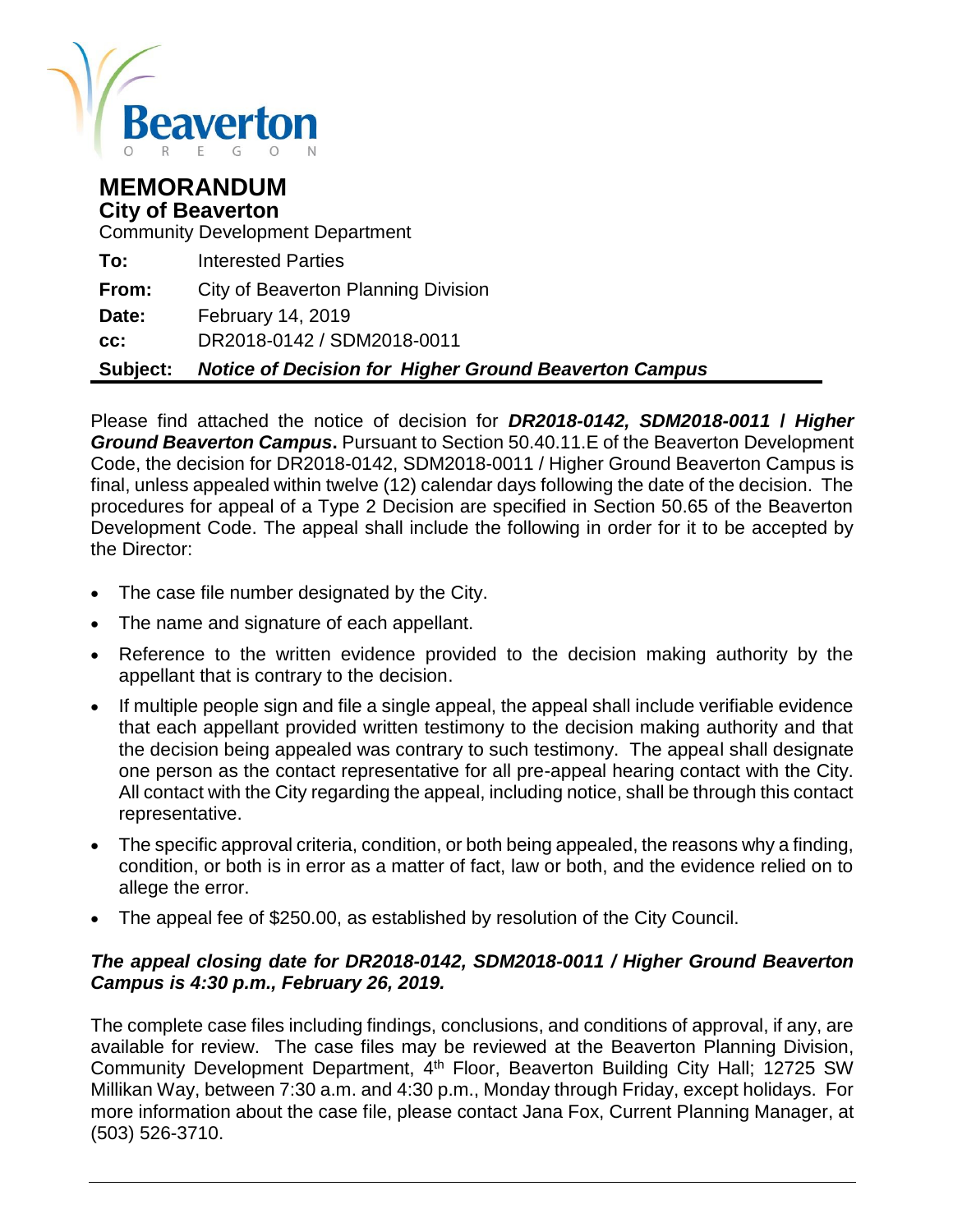

#### **MEMORANDUM City of Beaverton**

Community Development Department

| Subject: | <b>Notice of Decision for Higher Ground Beaverton Campus</b> |
|----------|--------------------------------------------------------------|
| CC:      | DR2018-0142 / SDM2018-0011                                   |
| Date:    | <b>February 14, 2019</b>                                     |
| From:    | City of Beaverton Planning Division                          |
| To:      | <b>Interested Parties</b>                                    |

Please find attached the notice of decision for *DR2018-0142, SDM2018-0011* **/** *Higher Ground Beaverton Campus***.** Pursuant to Section 50.40.11.E of the Beaverton Development Code, the decision for DR2018-0142, SDM2018-0011 / Higher Ground Beaverton Campus is final, unless appealed within twelve (12) calendar days following the date of the decision. The procedures for appeal of a Type 2 Decision are specified in Section 50.65 of the Beaverton Development Code. The appeal shall include the following in order for it to be accepted by the Director:

- The case file number designated by the City.
- The name and signature of each appellant.
- Reference to the written evidence provided to the decision making authority by the appellant that is contrary to the decision.
- If multiple people sign and file a single appeal, the appeal shall include verifiable evidence that each appellant provided written testimony to the decision making authority and that the decision being appealed was contrary to such testimony. The appeal shall designate one person as the contact representative for all pre-appeal hearing contact with the City. All contact with the City regarding the appeal, including notice, shall be through this contact representative.
- The specific approval criteria, condition, or both being appealed, the reasons why a finding, condition, or both is in error as a matter of fact, law or both, and the evidence relied on to allege the error.
- The appeal fee of \$250.00, as established by resolution of the City Council.

#### *The appeal closing date for DR2018-0142, SDM2018-0011 / Higher Ground Beaverton Campus is 4:30 p.m., February 26, 2019.*

The complete case files including findings, conclusions, and conditions of approval, if any, are available for review. The case files may be reviewed at the Beaverton Planning Division, Community Development Department, 4<sup>th</sup> Floor, Beaverton Building City Hall; 12725 SW Millikan Way, between 7:30 a.m. and 4:30 p.m., Monday through Friday, except holidays. For more information about the case file, please contact Jana Fox, Current Planning Manager, at (503) 526-3710.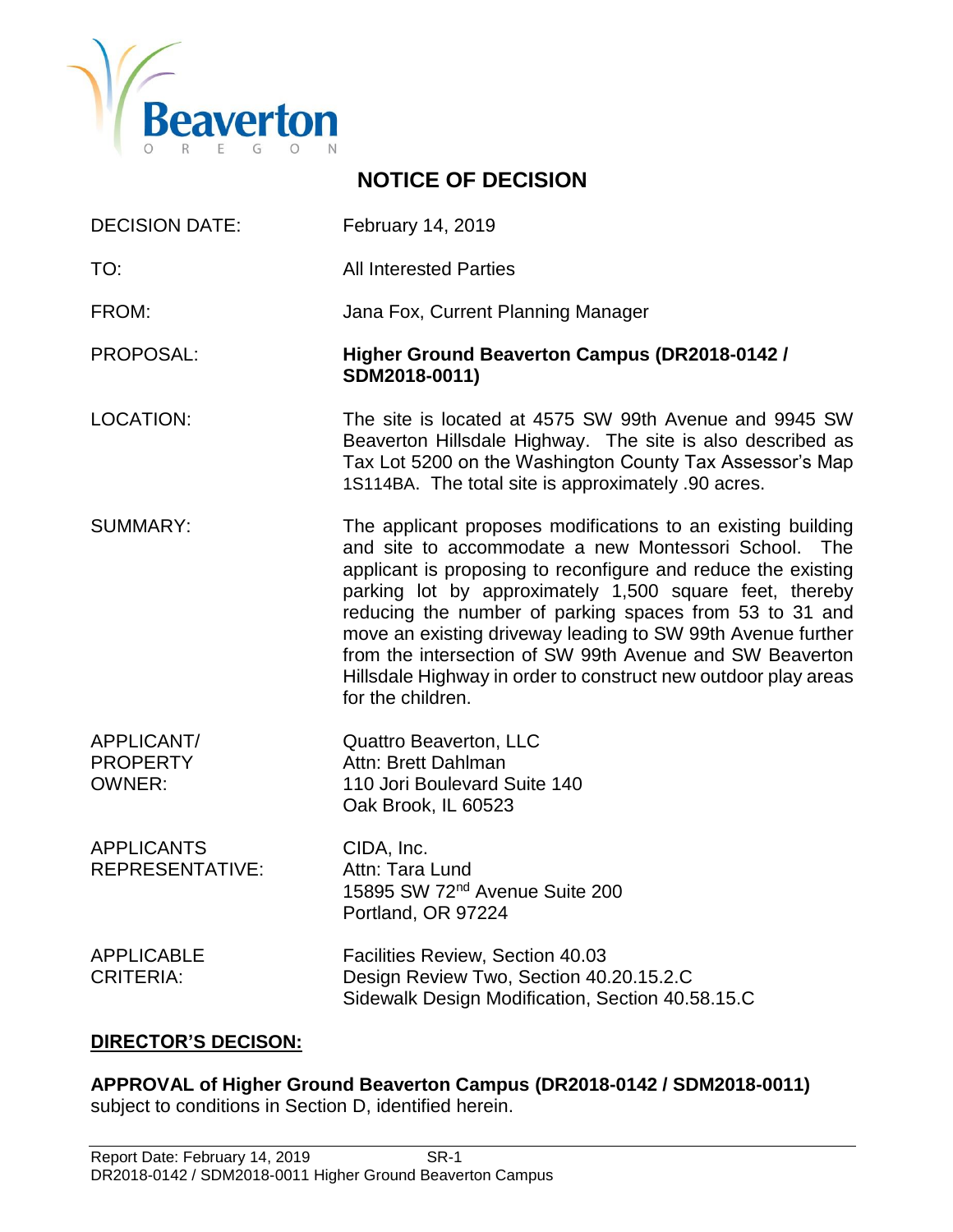

# DECISION DATE: February 14, 2019 TO: All Interested Parties FROM: Jana Fox, Current Planning Manager PROPOSAL: **Higher Ground Beaverton Campus (DR2018-0142 / SDM2018-0011)** LOCATION: The site is located at 4575 SW 99th Avenue and 9945 SW Beaverton Hillsdale Highway. The site is also described as Tax Lot 5200 on the Washington County Tax Assessor's Map 1S114BA. The total site is approximately .90 acres. SUMMARY: The applicant proposes modifications to an existing building and site to accommodate a new Montessori School. The applicant is proposing to reconfigure and reduce the existing parking lot by approximately 1,500 square feet, thereby reducing the number of parking spaces from 53 to 31 and move an existing driveway leading to SW 99th Avenue further from the intersection of SW 99th Avenue and SW Beaverton Hillsdale Highway in order to construct new outdoor play areas for the children. APPLICANT/ Quattro Beaverton, LLC PROPERTY Attn: Brett Dahlman OWNER: 110 Jori Boulevard Suite 140 Oak Brook, IL 60523 APPLICANTS CIDA, Inc. REPRESENTATIVE: Attn: Tara Lund 15895 SW 72nd Avenue Suite 200 Portland, OR 97224 APPLICABLE Facilities Review, Section 40.03 CRITERIA: Design Review Two, Section 40.20.15.2.C Sidewalk Design Modification, Section 40.58.15.C

**NOTICE OF DECISION**

#### **DIRECTOR'S DECISON:**

**APPROVAL of Higher Ground Beaverton Campus (DR2018-0142 / SDM2018-0011)**  subject to conditions in Section D, identified herein.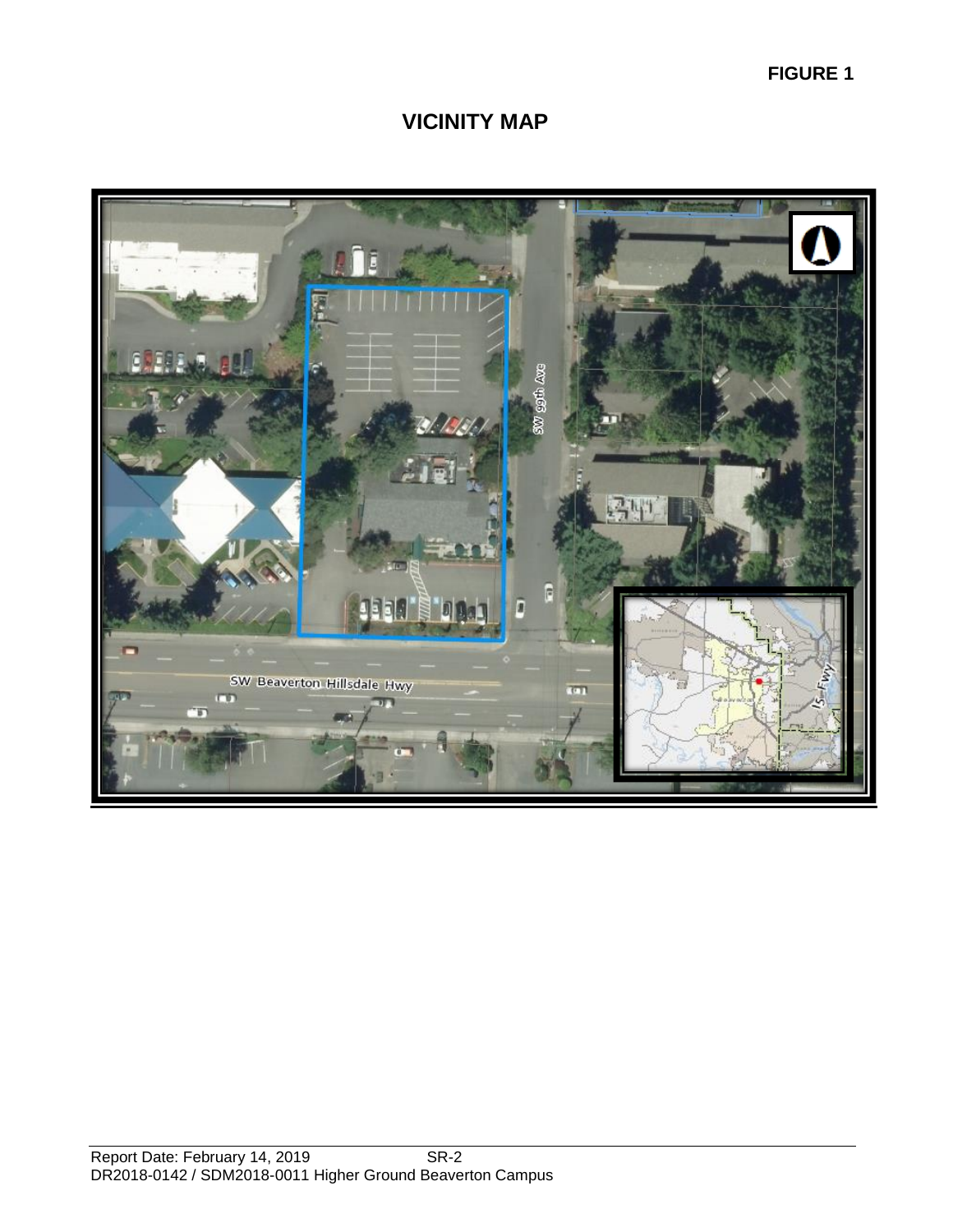**FIGURE 1**

## **VICINITY MAP**

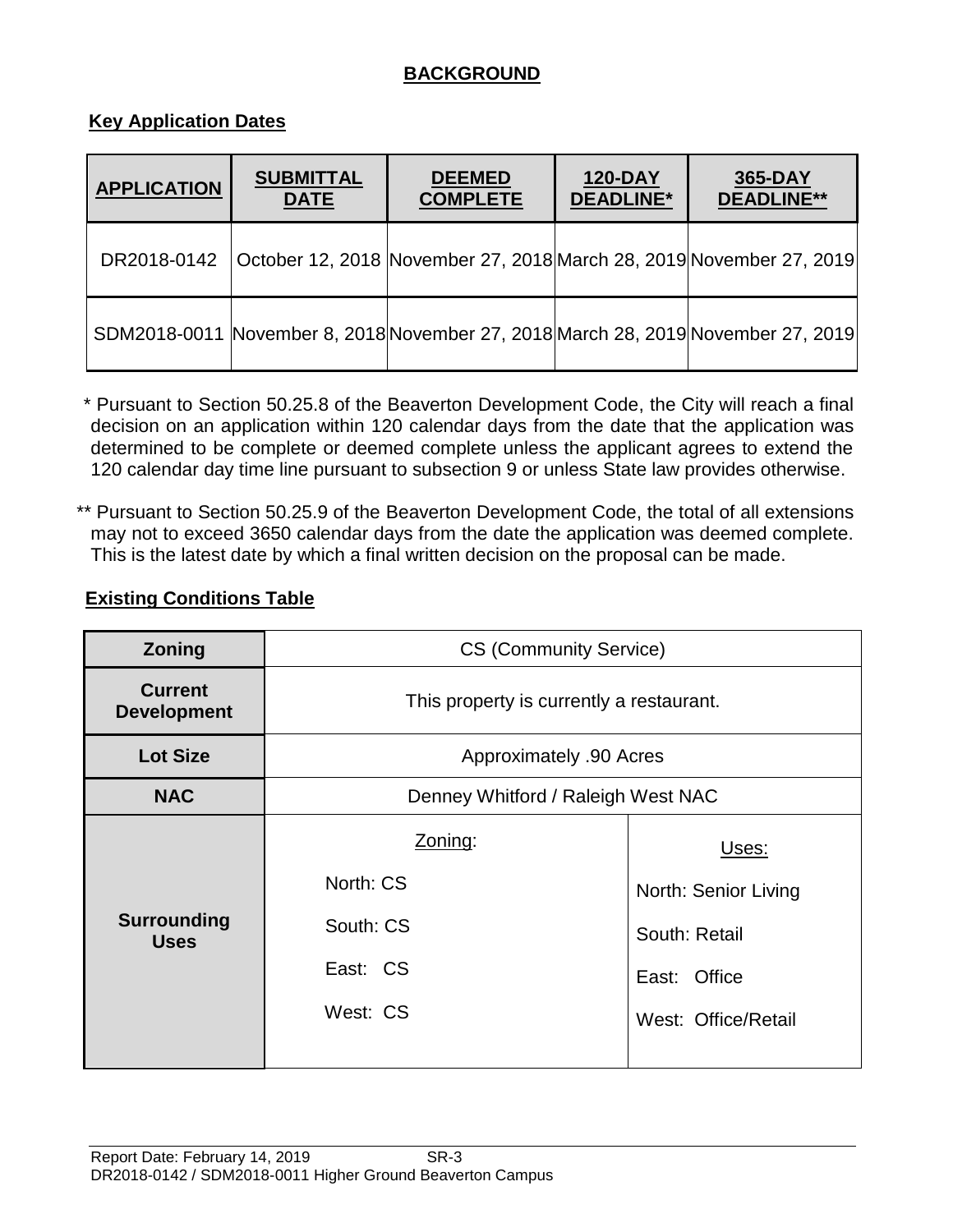## **BACKGROUND**

#### **Key Application Dates**

| <b>APPLICATION</b> | <b>SUBMITTAL</b><br><b>DATE</b> | <b>DEEMED</b><br><b>COMPLETE</b> | <b>120-DAY</b><br><b>DEADLINE*</b> | 365-DAY<br><b>DEADLINE**</b>                                                     |
|--------------------|---------------------------------|----------------------------------|------------------------------------|----------------------------------------------------------------------------------|
| DR2018-0142        |                                 |                                  |                                    | October 12, 2018 November 27, 2018 March 28, 2019 November 27, 2019              |
|                    |                                 |                                  |                                    | SDM2018-0011 November 8, 2018 November 27, 2018 March 28, 2019 November 27, 2019 |

\* Pursuant to Section 50.25.8 of the Beaverton Development Code, the City will reach a final decision on an application within 120 calendar days from the date that the application was determined to be complete or deemed complete unless the applicant agrees to extend the 120 calendar day time line pursuant to subsection 9 or unless State law provides otherwise.

\*\* Pursuant to Section 50.25.9 of the Beaverton Development Code, the total of all extensions may not to exceed 3650 calendar days from the date the application was deemed complete. This is the latest date by which a final written decision on the proposal can be made.

#### **Existing Conditions Table**

| Zoning                               | <b>CS (Community Service)</b>            |                      |  |  |
|--------------------------------------|------------------------------------------|----------------------|--|--|
| <b>Current</b><br><b>Development</b> | This property is currently a restaurant. |                      |  |  |
| <b>Lot Size</b>                      | Approximately .90 Acres                  |                      |  |  |
| <b>NAC</b>                           | Denney Whitford / Raleigh West NAC       |                      |  |  |
|                                      | Zoning:                                  | Uses:                |  |  |
|                                      | North: CS                                | North: Senior Living |  |  |
| <b>Surrounding</b><br><b>Uses</b>    | South: CS                                | South: Retail        |  |  |
|                                      | East: CS                                 | East: Office         |  |  |
|                                      | West: CS                                 | West: Office/Retail  |  |  |
|                                      |                                          |                      |  |  |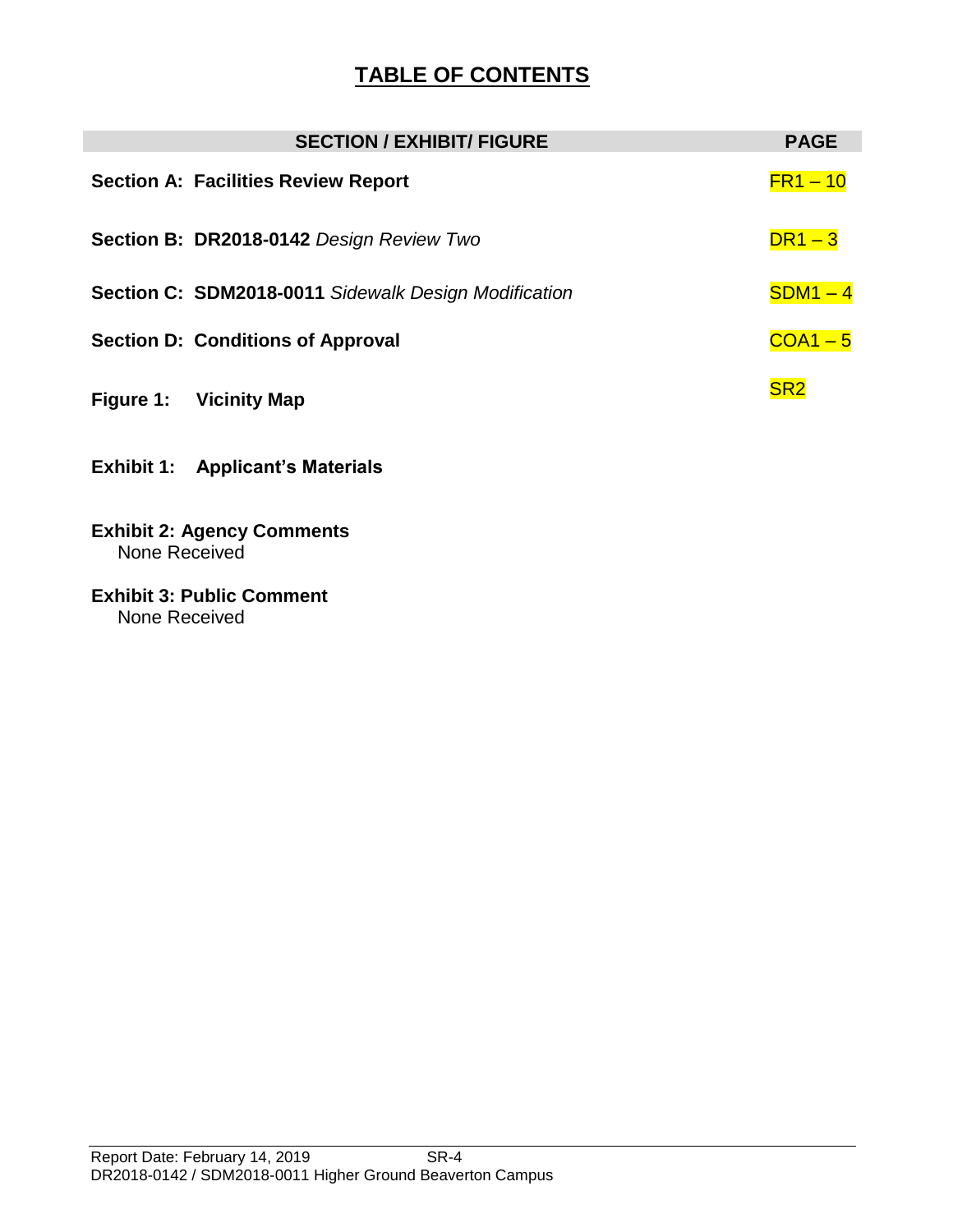# **TABLE OF CONTENTS**

|           | <b>SECTION / EXHIBIT/ FIGURE</b>                            | <b>PAGE</b>     |
|-----------|-------------------------------------------------------------|-----------------|
|           | <b>Section A: Facilities Review Report</b>                  | $FR1 - 10$      |
|           | Section B: DR2018-0142 Design Review Two                    | $DR1-3$         |
|           | <b>Section C: SDM2018-0011 Sidewalk Design Modification</b> | $SDM1 - 4$      |
|           | <b>Section D: Conditions of Approval</b>                    | $COA1 - 5$      |
| Figure 1: | <b>Vicinity Map</b>                                         | SR <sub>2</sub> |

- **Exhibit 1: Applicant's Materials**
- **Exhibit 2: Agency Comments** None Received
- **Exhibit 3: Public Comment** None Received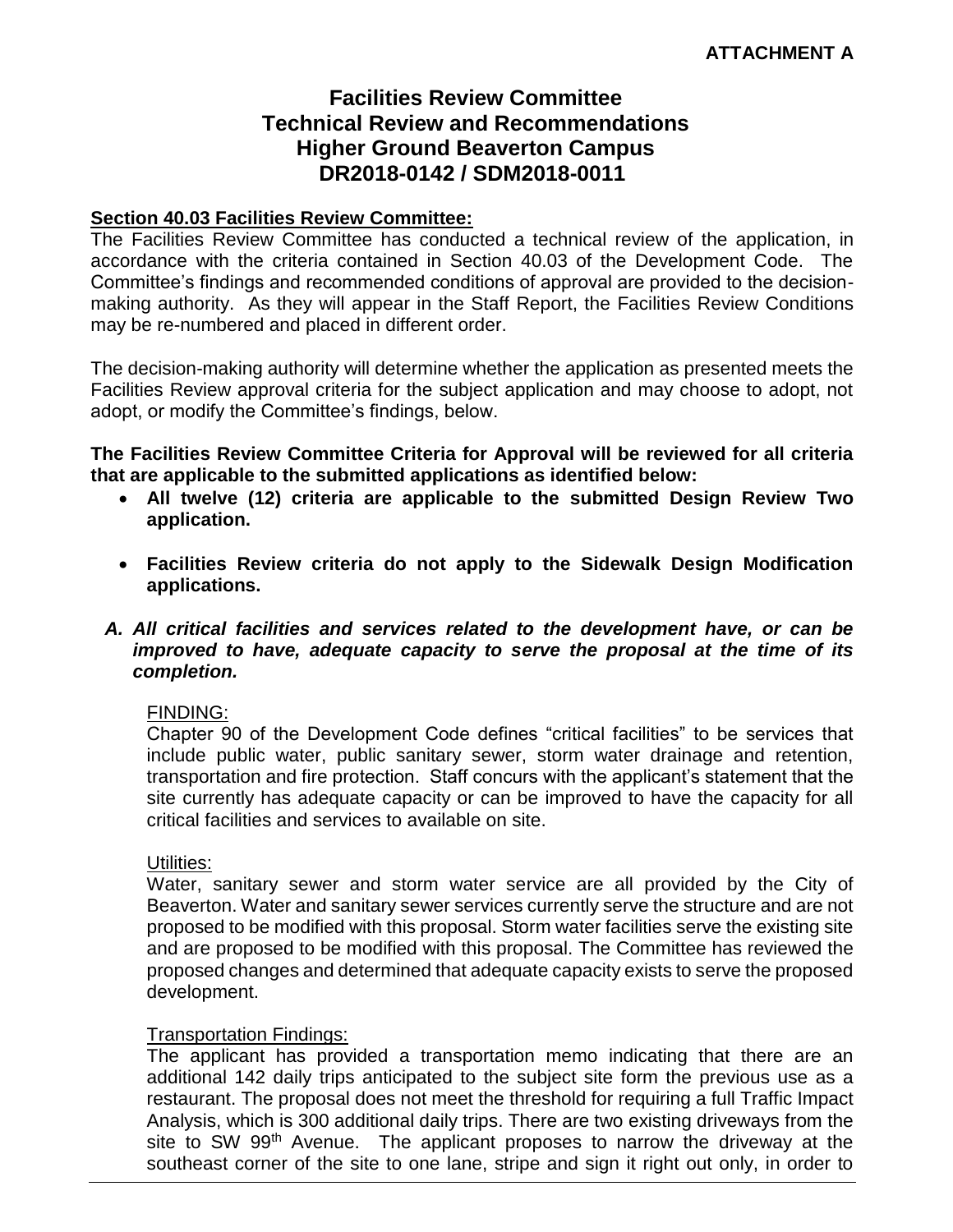## **Facilities Review Committee Technical Review and Recommendations Higher Ground Beaverton Campus DR2018-0142 / SDM2018-0011**

#### **Section 40.03 Facilities Review Committee:**

The Facilities Review Committee has conducted a technical review of the application, in accordance with the criteria contained in Section 40.03 of the Development Code. The Committee's findings and recommended conditions of approval are provided to the decisionmaking authority. As they will appear in the Staff Report, the Facilities Review Conditions may be re-numbered and placed in different order.

The decision-making authority will determine whether the application as presented meets the Facilities Review approval criteria for the subject application and may choose to adopt, not adopt, or modify the Committee's findings, below.

**The Facilities Review Committee Criteria for Approval will be reviewed for all criteria that are applicable to the submitted applications as identified below:**

- **All twelve (12) criteria are applicable to the submitted Design Review Two application.**
- **Facilities Review criteria do not apply to the Sidewalk Design Modification applications.**
- *A. All critical facilities and services related to the development have, or can be improved to have, adequate capacity to serve the proposal at the time of its completion.*

#### FINDING:

Chapter 90 of the Development Code defines "critical facilities" to be services that include public water, public sanitary sewer, storm water drainage and retention, transportation and fire protection. Staff concurs with the applicant's statement that the site currently has adequate capacity or can be improved to have the capacity for all critical facilities and services to available on site.

#### Utilities:

Water, sanitary sewer and storm water service are all provided by the City of Beaverton. Water and sanitary sewer services currently serve the structure and are not proposed to be modified with this proposal. Storm water facilities serve the existing site and are proposed to be modified with this proposal. The Committee has reviewed the proposed changes and determined that adequate capacity exists to serve the proposed development.

#### Transportation Findings:

The applicant has provided a transportation memo indicating that there are an additional 142 daily trips anticipated to the subject site form the previous use as a restaurant. The proposal does not meet the threshold for requiring a full Traffic Impact Analysis, which is 300 additional daily trips. There are two existing driveways from the site to SW 99<sup>th</sup> Avenue. The applicant proposes to narrow the driveway at the southeast corner of the site to one lane, stripe and sign it right out only, in order to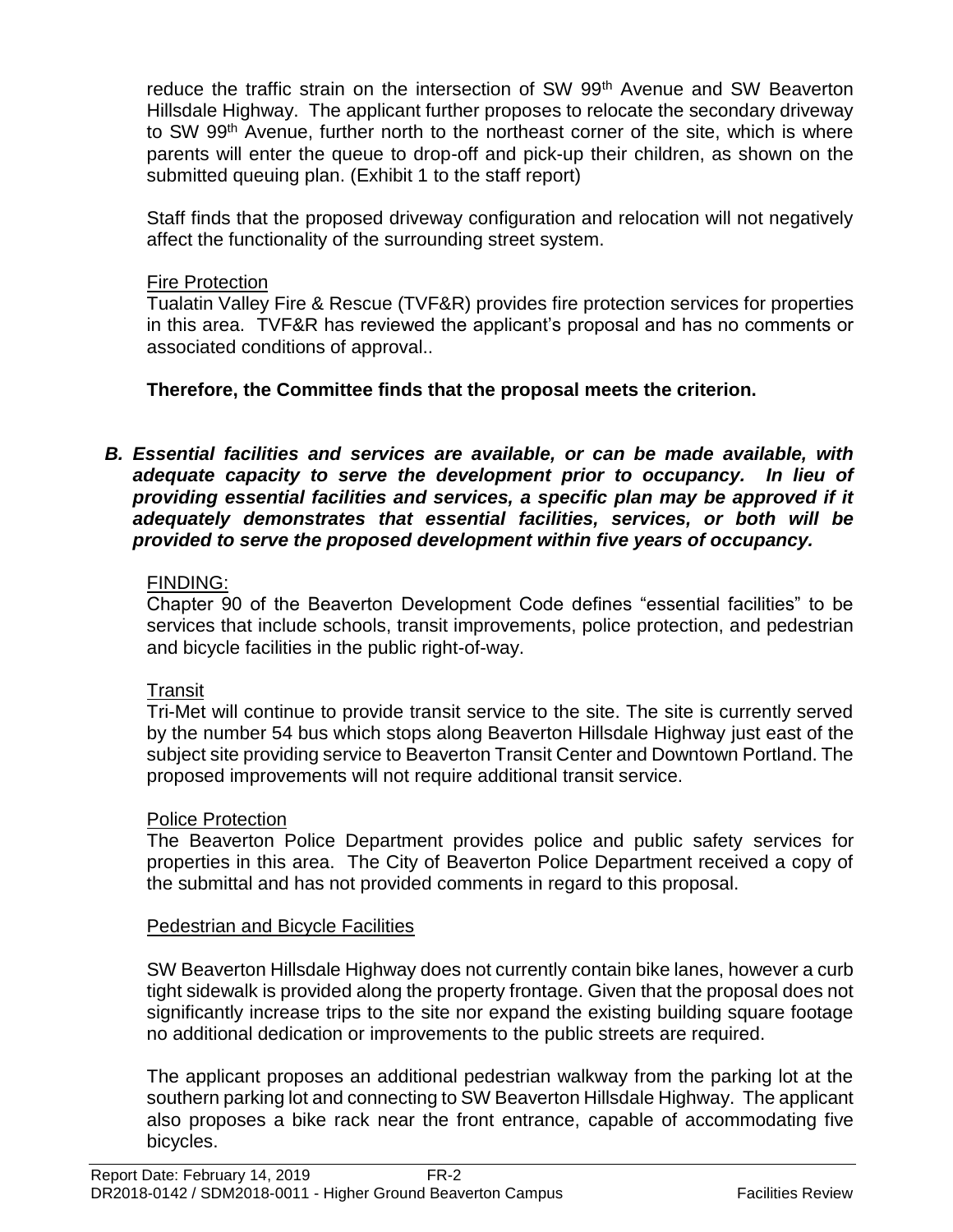reduce the traffic strain on the intersection of SW 99<sup>th</sup> Avenue and SW Beaverton Hillsdale Highway. The applicant further proposes to relocate the secondary driveway to SW 99<sup>th</sup> Avenue, further north to the northeast corner of the site, which is where parents will enter the queue to drop-off and pick-up their children, as shown on the submitted queuing plan. (Exhibit 1 to the staff report)

Staff finds that the proposed driveway configuration and relocation will not negatively affect the functionality of the surrounding street system.

#### Fire Protection

Tualatin Valley Fire & Rescue (TVF&R) provides fire protection services for properties in this area. TVF&R has reviewed the applicant's proposal and has no comments or associated conditions of approval..

**Therefore, the Committee finds that the proposal meets the criterion.** 

*B. Essential facilities and services are available, or can be made available, with adequate capacity to serve the development prior to occupancy. In lieu of providing essential facilities and services, a specific plan may be approved if it adequately demonstrates that essential facilities, services, or both will be provided to serve the proposed development within five years of occupancy.*

## FINDING:

Chapter 90 of the Beaverton Development Code defines "essential facilities" to be services that include schools, transit improvements, police protection, and pedestrian and bicycle facilities in the public right-of-way.

#### Transit

Tri-Met will continue to provide transit service to the site. The site is currently served by the number 54 bus which stops along Beaverton Hillsdale Highway just east of the subject site providing service to Beaverton Transit Center and Downtown Portland. The proposed improvements will not require additional transit service.

#### Police Protection

The Beaverton Police Department provides police and public safety services for properties in this area. The City of Beaverton Police Department received a copy of the submittal and has not provided comments in regard to this proposal.

#### Pedestrian and Bicycle Facilities

SW Beaverton Hillsdale Highway does not currently contain bike lanes, however a curb tight sidewalk is provided along the property frontage. Given that the proposal does not significantly increase trips to the site nor expand the existing building square footage no additional dedication or improvements to the public streets are required.

The applicant proposes an additional pedestrian walkway from the parking lot at the southern parking lot and connecting to SW Beaverton Hillsdale Highway. The applicant also proposes a bike rack near the front entrance, capable of accommodating five bicycles.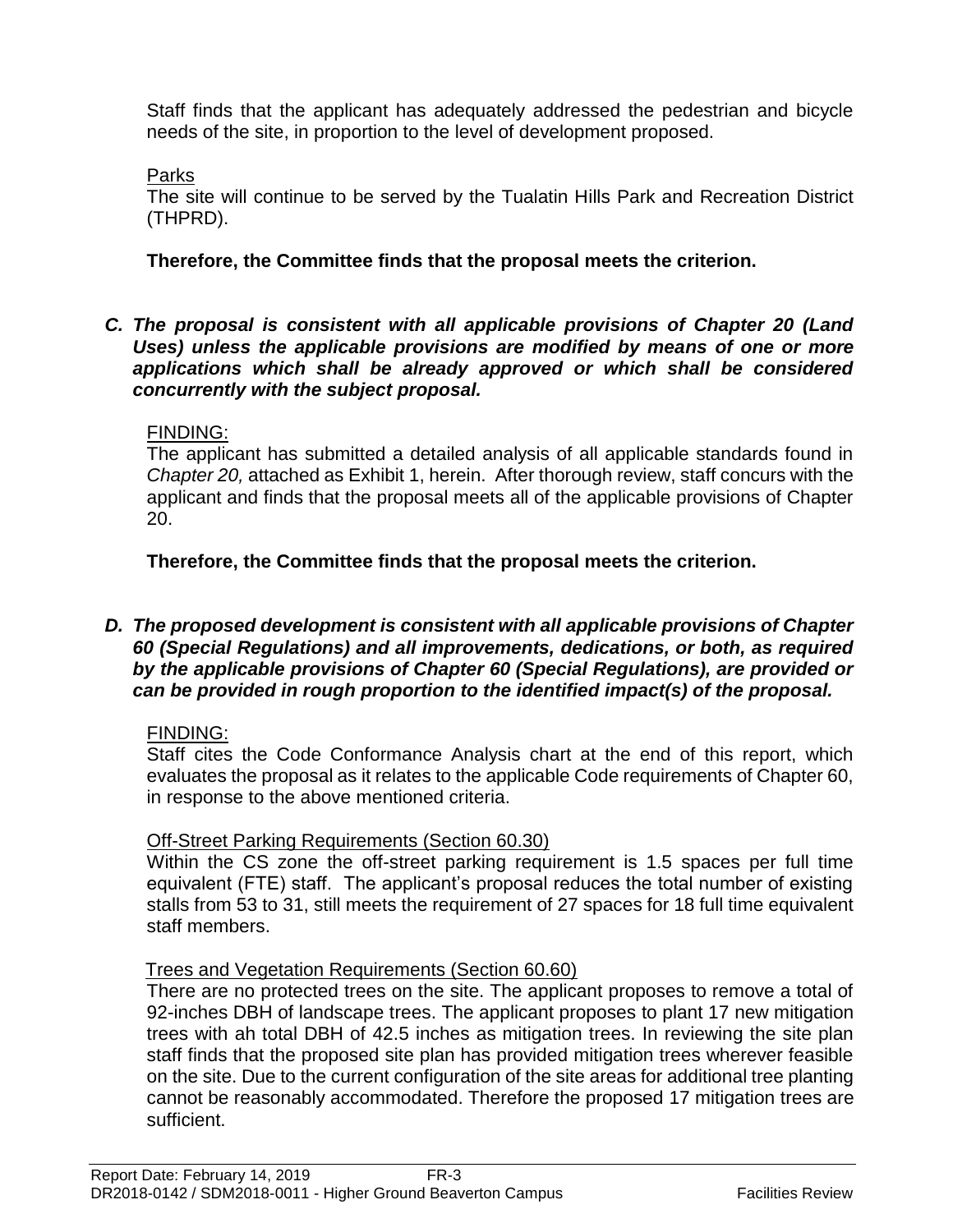Staff finds that the applicant has adequately addressed the pedestrian and bicycle needs of the site, in proportion to the level of development proposed.

Parks

The site will continue to be served by the Tualatin Hills Park and Recreation District (THPRD).

## **Therefore, the Committee finds that the proposal meets the criterion.**

*C. The proposal is consistent with all applicable provisions of Chapter 20 (Land Uses) unless the applicable provisions are modified by means of one or more applications which shall be already approved or which shall be considered concurrently with the subject proposal.* 

## FINDING:

The applicant has submitted a detailed analysis of all applicable standards found in *Chapter 20,* attached as Exhibit 1, herein.After thorough review, staff concurs with the applicant and finds that the proposal meets all of the applicable provisions of Chapter 20.

**Therefore, the Committee finds that the proposal meets the criterion.** 

#### *D. The proposed development is consistent with all applicable provisions of Chapter 60 (Special Regulations) and all improvements, dedications, or both, as required by the applicable provisions of Chapter 60 (Special Regulations), are provided or can be provided in rough proportion to the identified impact(s) of the proposal.*

## FINDING:

Staff cites the Code Conformance Analysis chart at the end of this report, which evaluates the proposal as it relates to the applicable Code requirements of Chapter 60, in response to the above mentioned criteria.

## Off-Street Parking Requirements (Section 60.30)

Within the CS zone the off-street parking requirement is 1.5 spaces per full time equivalent (FTE) staff. The applicant's proposal reduces the total number of existing stalls from 53 to 31, still meets the requirement of 27 spaces for 18 full time equivalent staff members.

## Trees and Vegetation Requirements (Section 60.60)

There are no protected trees on the site. The applicant proposes to remove a total of 92-inches DBH of landscape trees. The applicant proposes to plant 17 new mitigation trees with ah total DBH of 42.5 inches as mitigation trees. In reviewing the site plan staff finds that the proposed site plan has provided mitigation trees wherever feasible on the site. Due to the current configuration of the site areas for additional tree planting cannot be reasonably accommodated. Therefore the proposed 17 mitigation trees are sufficient.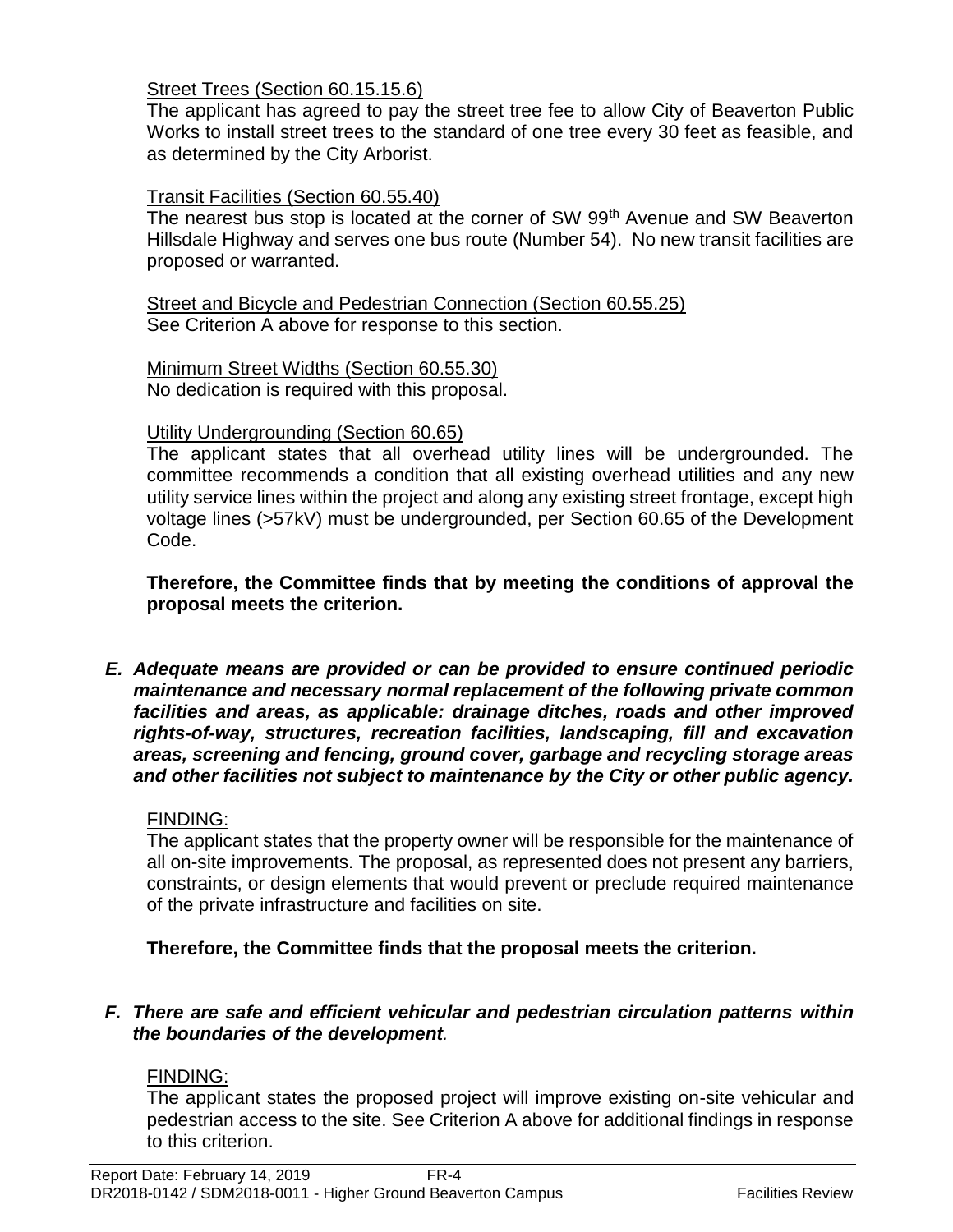#### Street Trees (Section 60.15.15.6)

The applicant has agreed to pay the street tree fee to allow City of Beaverton Public Works to install street trees to the standard of one tree every 30 feet as feasible, and as determined by the City Arborist.

#### Transit Facilities (Section 60.55.40)

The nearest bus stop is located at the corner of SW 99<sup>th</sup> Avenue and SW Beaverton Hillsdale Highway and serves one bus route (Number 54). No new transit facilities are proposed or warranted.

#### Street and Bicycle and Pedestrian Connection (Section 60.55.25) See Criterion A above for response to this section.

Minimum Street Widths (Section 60.55.30) No dedication is required with this proposal.

#### Utility Undergrounding (Section 60.65)

The applicant states that all overhead utility lines will be undergrounded. The committee recommends a condition that all existing overhead utilities and any new utility service lines within the project and along any existing street frontage, except high voltage lines (>57kV) must be undergrounded, per Section 60.65 of the Development Code.

**Therefore, the Committee finds that by meeting the conditions of approval the proposal meets the criterion.** 

*E. Adequate means are provided or can be provided to ensure continued periodic maintenance and necessary normal replacement of the following private common facilities and areas, as applicable: drainage ditches, roads and other improved rights-of-way, structures, recreation facilities, landscaping, fill and excavation areas, screening and fencing, ground cover, garbage and recycling storage areas and other facilities not subject to maintenance by the City or other public agency.*

#### FINDING:

The applicant states that the property owner will be responsible for the maintenance of all on-site improvements. The proposal, as represented does not present any barriers, constraints, or design elements that would prevent or preclude required maintenance of the private infrastructure and facilities on site.

**Therefore, the Committee finds that the proposal meets the criterion.** 

#### *F. There are safe and efficient vehicular and pedestrian circulation patterns within the boundaries of the development.*

#### FINDING:

The applicant states the proposed project will improve existing on-site vehicular and pedestrian access to the site. See Criterion A above for additional findings in response to this criterion.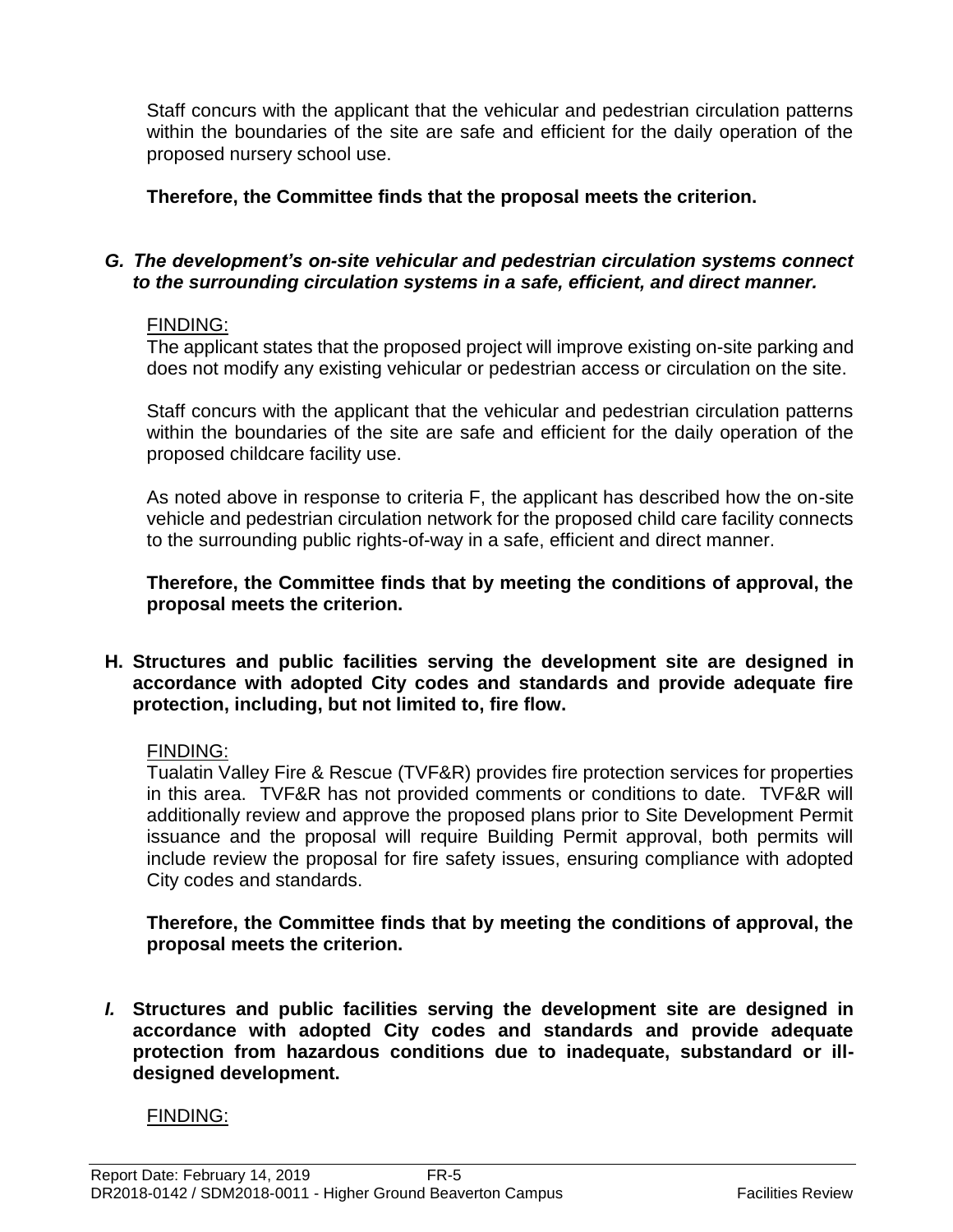Staff concurs with the applicant that the vehicular and pedestrian circulation patterns within the boundaries of the site are safe and efficient for the daily operation of the proposed nursery school use.

**Therefore, the Committee finds that the proposal meets the criterion.** 

#### *G. The development's on-site vehicular and pedestrian circulation systems connect to the surrounding circulation systems in a safe, efficient, and direct manner.*

#### FINDING:

The applicant states that the proposed project will improve existing on-site parking and does not modify any existing vehicular or pedestrian access or circulation on the site.

Staff concurs with the applicant that the vehicular and pedestrian circulation patterns within the boundaries of the site are safe and efficient for the daily operation of the proposed childcare facility use.

As noted above in response to criteria F, the applicant has described how the on-site vehicle and pedestrian circulation network for the proposed child care facility connects to the surrounding public rights-of-way in a safe, efficient and direct manner.

**Therefore, the Committee finds that by meeting the conditions of approval, the proposal meets the criterion.** 

**H. Structures and public facilities serving the development site are designed in accordance with adopted City codes and standards and provide adequate fire protection, including, but not limited to, fire flow.**

## FINDING:

Tualatin Valley Fire & Rescue (TVF&R) provides fire protection services for properties in this area. TVF&R has not provided comments or conditions to date. TVF&R will additionally review and approve the proposed plans prior to Site Development Permit issuance and the proposal will require Building Permit approval, both permits will include review the proposal for fire safety issues, ensuring compliance with adopted City codes and standards.

**Therefore, the Committee finds that by meeting the conditions of approval, the proposal meets the criterion.** 

*I.* **Structures and public facilities serving the development site are designed in accordance with adopted City codes and standards and provide adequate protection from hazardous conditions due to inadequate, substandard or illdesigned development.**

## FINDING: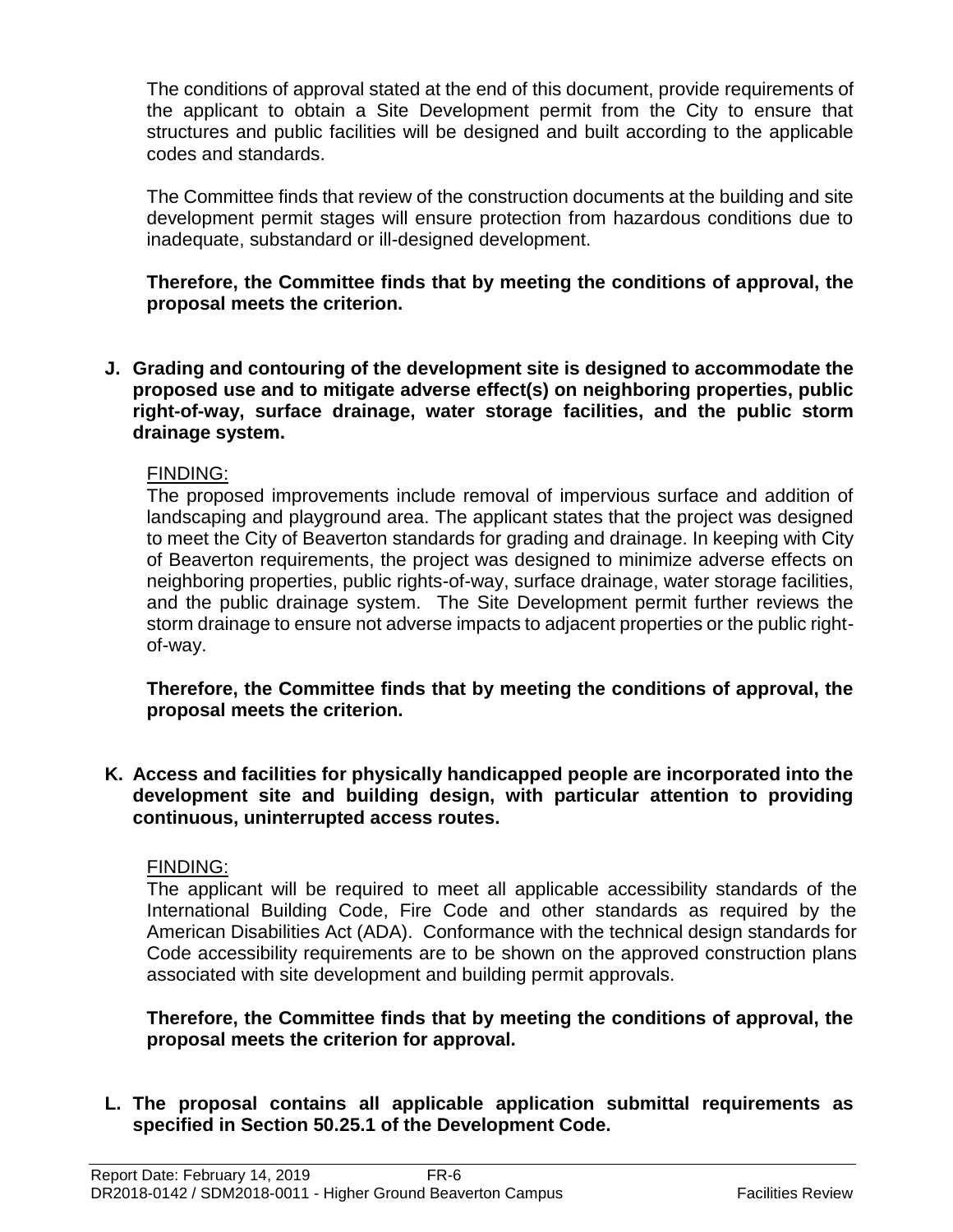The conditions of approval stated at the end of this document, provide requirements of the applicant to obtain a Site Development permit from the City to ensure that structures and public facilities will be designed and built according to the applicable codes and standards.

The Committee finds that review of the construction documents at the building and site development permit stages will ensure protection from hazardous conditions due to inadequate, substandard or ill-designed development.

**Therefore, the Committee finds that by meeting the conditions of approval, the proposal meets the criterion.** 

**J. Grading and contouring of the development site is designed to accommodate the proposed use and to mitigate adverse effect(s) on neighboring properties, public right-of-way, surface drainage, water storage facilities, and the public storm drainage system.**

#### FINDING:

The proposed improvements include removal of impervious surface and addition of landscaping and playground area. The applicant states that the project was designed to meet the City of Beaverton standards for grading and drainage. In keeping with City of Beaverton requirements, the project was designed to minimize adverse effects on neighboring properties, public rights-of-way, surface drainage, water storage facilities, and the public drainage system. The Site Development permit further reviews the storm drainage to ensure not adverse impacts to adjacent properties or the public rightof-way.

**Therefore, the Committee finds that by meeting the conditions of approval, the proposal meets the criterion.** 

**K. Access and facilities for physically handicapped people are incorporated into the development site and building design, with particular attention to providing continuous, uninterrupted access routes.**

#### FINDING:

The applicant will be required to meet all applicable accessibility standards of the International Building Code, Fire Code and other standards as required by the American Disabilities Act (ADA). Conformance with the technical design standards for Code accessibility requirements are to be shown on the approved construction plans associated with site development and building permit approvals.

**Therefore, the Committee finds that by meeting the conditions of approval, the proposal meets the criterion for approval.**

**L. The proposal contains all applicable application submittal requirements as specified in Section 50.25.1 of the Development Code.**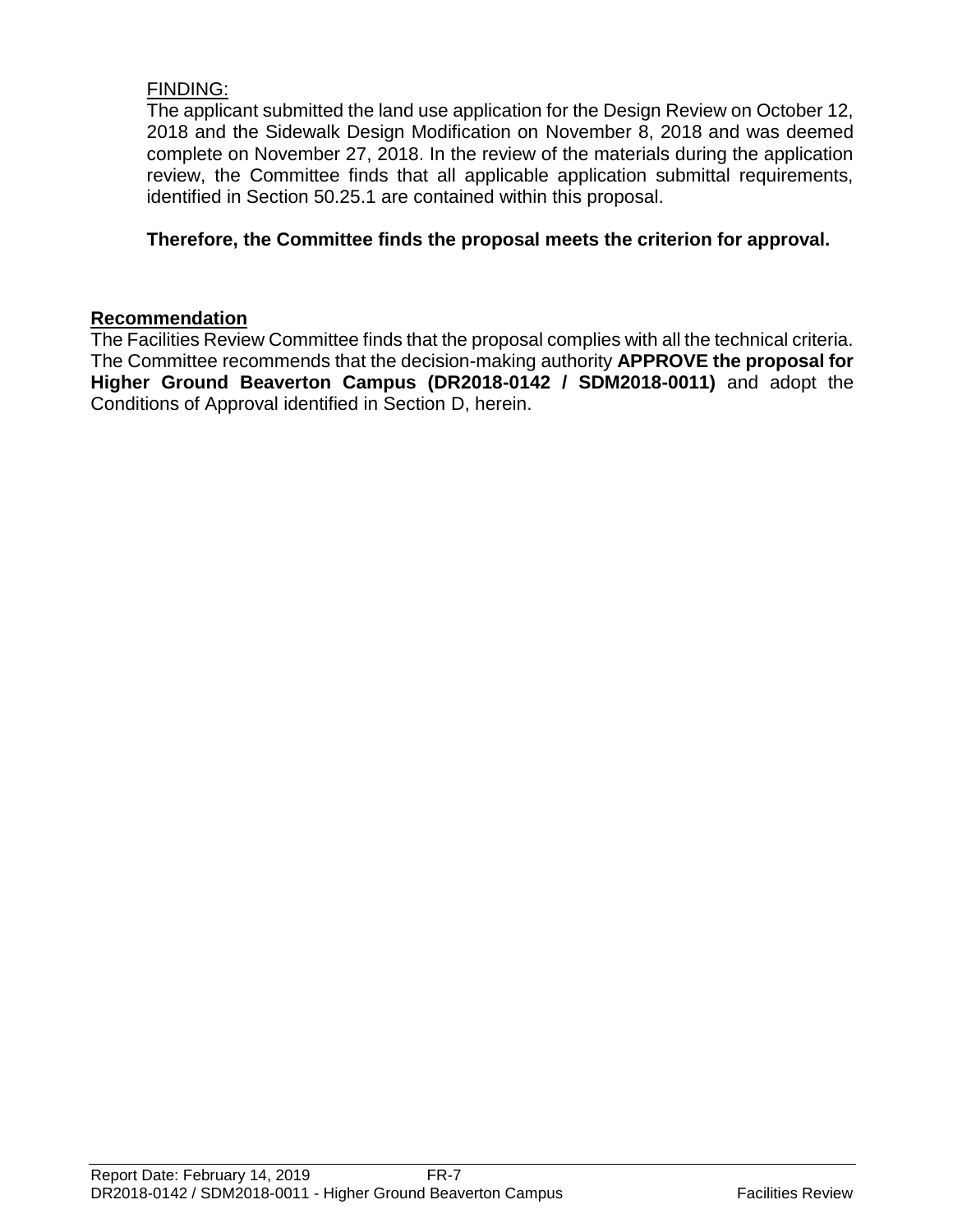## FINDING:

The applicant submitted the land use application for the Design Review on October 12, 2018 and the Sidewalk Design Modification on November 8, 2018 and was deemed complete on November 27, 2018. In the review of the materials during the application review, the Committee finds that all applicable application submittal requirements, identified in Section 50.25.1 are contained within this proposal.

#### **Therefore, the Committee finds the proposal meets the criterion for approval.**

#### **Recommendation**

The Facilities Review Committee finds that the proposal complies with all the technical criteria. The Committee recommends that the decision-making authority **APPROVE the proposal for Higher Ground Beaverton Campus (DR2018-0142 / SDM2018-0011)** and adopt the Conditions of Approval identified in Section D, herein.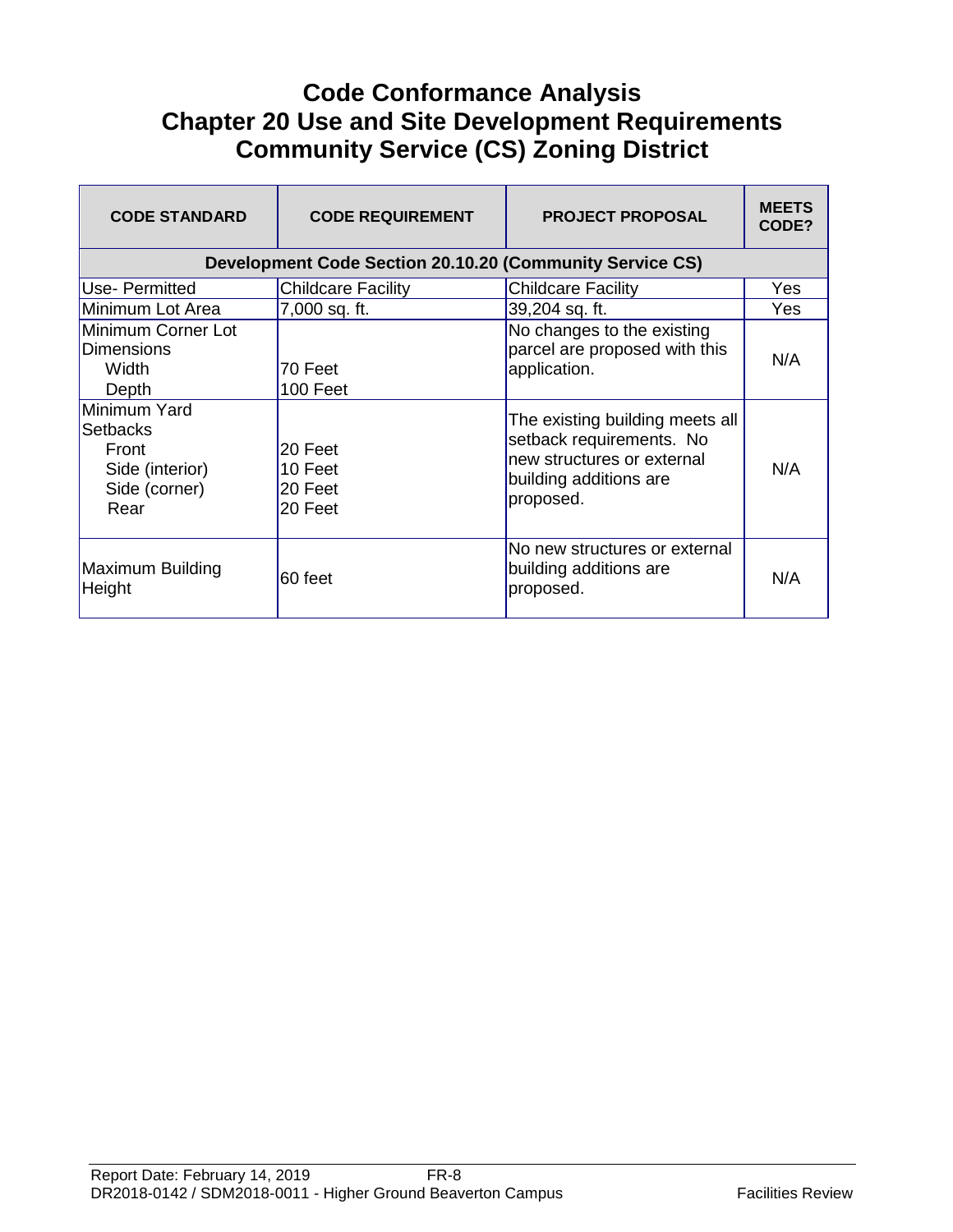# **Code Conformance Analysis Chapter 20 Use and Site Development Requirements Community Service (CS) Zoning District**

| <b>CODE STANDARD</b>                                                          | <b>CODE REQUIREMENT</b>                                  | <b>PROJECT PROPOSAL</b>                                                                                                          | <b>MEETS</b><br>CODE? |
|-------------------------------------------------------------------------------|----------------------------------------------------------|----------------------------------------------------------------------------------------------------------------------------------|-----------------------|
|                                                                               | Development Code Section 20.10.20 (Community Service CS) |                                                                                                                                  |                       |
| Use- Permitted                                                                | <b>Childcare Facility</b>                                | <b>Childcare Facility</b>                                                                                                        | Yes                   |
| Minimum Lot Area                                                              | 7,000 sq. ft.                                            | 39,204 sq. ft.                                                                                                                   | Yes                   |
| Minimum Corner Lot<br><b>Dimensions</b><br>Width<br>Depth                     | 70 Feet<br>100 Feet                                      | No changes to the existing<br>parcel are proposed with this<br>application.                                                      | N/A                   |
| Minimum Yard<br>Setbacks<br>Front<br>Side (interior)<br>Side (corner)<br>Rear | 20 Feet<br>10 Feet<br>20 Feet<br>20 Feet                 | The existing building meets all<br>setback requirements. No<br>new structures or external<br>building additions are<br>proposed. | N/A                   |
| Maximum Building<br>Height                                                    | 60 feet                                                  | No new structures or external<br>building additions are<br>proposed.                                                             | N/A                   |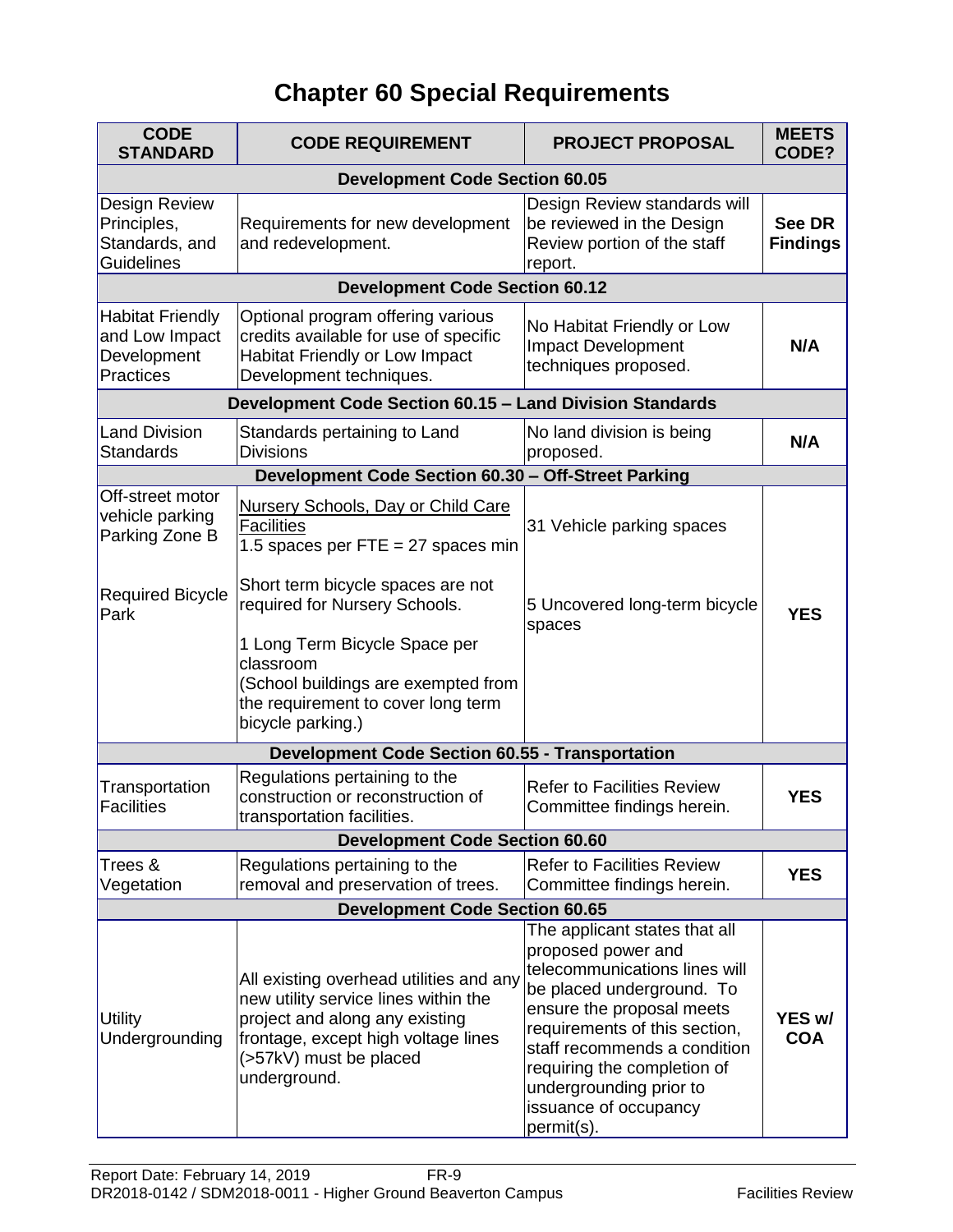# **Chapter 60 Special Requirements**

| <b>CODE</b><br><b>STANDARD</b>                                        | <b>CODE REQUIREMENT</b>                                                                                                                                                                            | <b>PROJECT PROPOSAL</b>                                                                                                                                                                                                                                                                                          | <b>MEETS</b><br>CODE?     |  |  |
|-----------------------------------------------------------------------|----------------------------------------------------------------------------------------------------------------------------------------------------------------------------------------------------|------------------------------------------------------------------------------------------------------------------------------------------------------------------------------------------------------------------------------------------------------------------------------------------------------------------|---------------------------|--|--|
| <b>Development Code Section 60.05</b>                                 |                                                                                                                                                                                                    |                                                                                                                                                                                                                                                                                                                  |                           |  |  |
| Design Review<br>Principles,<br>Standards, and<br><b>Guidelines</b>   | Requirements for new development<br>and redevelopment.                                                                                                                                             | Design Review standards will<br>be reviewed in the Design<br>Review portion of the staff<br>report.                                                                                                                                                                                                              | See DR<br><b>Findings</b> |  |  |
|                                                                       | <b>Development Code Section 60.12</b>                                                                                                                                                              |                                                                                                                                                                                                                                                                                                                  |                           |  |  |
| <b>Habitat Friendly</b><br>and Low Impact<br>Development<br>Practices | Optional program offering various<br>credits available for use of specific<br><b>Habitat Friendly or Low Impact</b><br>Development techniques.                                                     | No Habitat Friendly or Low<br>Impact Development<br>techniques proposed.                                                                                                                                                                                                                                         | N/A                       |  |  |
|                                                                       | Development Code Section 60.15 - Land Division Standards                                                                                                                                           |                                                                                                                                                                                                                                                                                                                  |                           |  |  |
| <b>Land Division</b><br><b>Standards</b>                              | Standards pertaining to Land<br><b>Divisions</b>                                                                                                                                                   | No land division is being<br>proposed.                                                                                                                                                                                                                                                                           | N/A                       |  |  |
|                                                                       | Development Code Section 60.30 - Off-Street Parking                                                                                                                                                |                                                                                                                                                                                                                                                                                                                  |                           |  |  |
| Off-street motor<br>vehicle parking<br>Parking Zone B                 | <b>Nursery Schools, Day or Child Care</b><br><b>Facilities</b><br>1.5 spaces per FTE = 27 spaces min                                                                                               | 31 Vehicle parking spaces                                                                                                                                                                                                                                                                                        |                           |  |  |
| <b>Required Bicycle</b><br>Park                                       | Short term bicycle spaces are not<br>required for Nursery Schools.                                                                                                                                 | 5 Uncovered long-term bicycle<br>spaces                                                                                                                                                                                                                                                                          | <b>YES</b>                |  |  |
|                                                                       | 1 Long Term Bicycle Space per<br>classroom<br>School buildings are exempted from<br>the requirement to cover long term<br>bicycle parking.)                                                        |                                                                                                                                                                                                                                                                                                                  |                           |  |  |
|                                                                       | <b>Development Code Section 60.55 - Transportation</b>                                                                                                                                             |                                                                                                                                                                                                                                                                                                                  |                           |  |  |
| Transportation<br><b>Facilities</b>                                   | Regulations pertaining to the<br>construction or reconstruction of<br>transportation facilities.                                                                                                   | <b>Refer to Facilities Review</b><br>Committee findings herein.                                                                                                                                                                                                                                                  | <b>YES</b>                |  |  |
|                                                                       | <b>Development Code Section 60.60</b>                                                                                                                                                              |                                                                                                                                                                                                                                                                                                                  |                           |  |  |
| Trees &<br>Vegetation                                                 | Regulations pertaining to the<br>removal and preservation of trees.                                                                                                                                | <b>Refer to Facilities Review</b><br>Committee findings herein.                                                                                                                                                                                                                                                  | <b>YES</b>                |  |  |
|                                                                       | <b>Development Code Section 60.65</b>                                                                                                                                                              |                                                                                                                                                                                                                                                                                                                  |                           |  |  |
| <b>Utility</b><br>Undergrounding                                      | All existing overhead utilities and any<br>new utility service lines within the<br>project and along any existing<br>frontage, except high voltage lines<br>(>57kV) must be placed<br>underground. | The applicant states that all<br>proposed power and<br>telecommunications lines will<br>be placed underground. To<br>ensure the proposal meets<br>requirements of this section,<br>staff recommends a condition<br>requiring the completion of<br>undergrounding prior to<br>issuance of occupancy<br>permit(s). | YES w/<br><b>COA</b>      |  |  |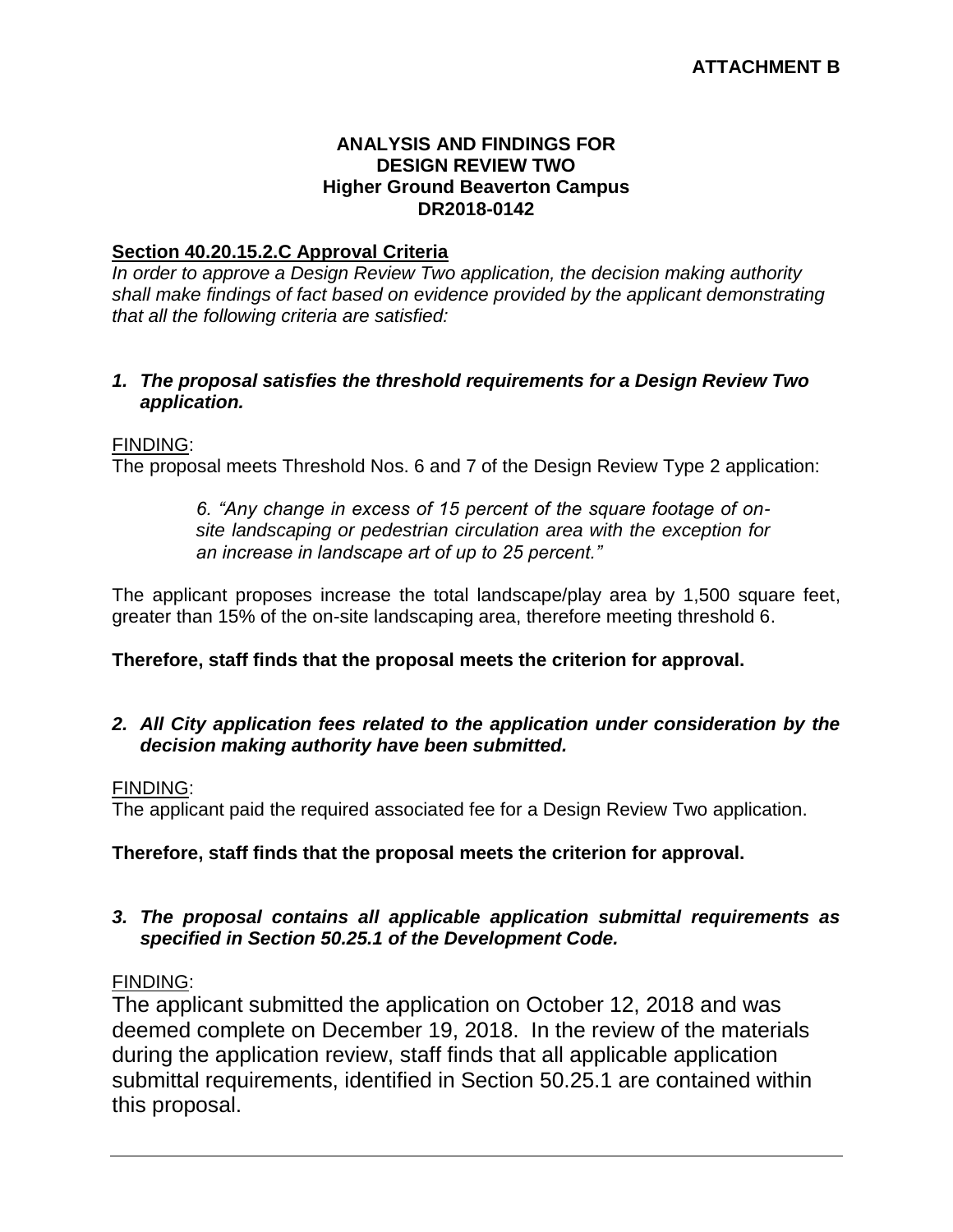#### **ANALYSIS AND FINDINGS FOR DESIGN REVIEW TWO Higher Ground Beaverton Campus DR2018-0142**

#### **Section 40.20.15.2.C Approval Criteria**

*In order to approve a Design Review Two application, the decision making authority shall make findings of fact based on evidence provided by the applicant demonstrating that all the following criteria are satisfied:*

#### *1. The proposal satisfies the threshold requirements for a Design Review Two application.*

#### FINDING:

The proposal meets Threshold Nos. 6 and 7 of the Design Review Type 2 application:

*6. "Any change in excess of 15 percent of the square footage of onsite landscaping or pedestrian circulation area with the exception for an increase in landscape art of up to 25 percent."*

The applicant proposes increase the total landscape/play area by 1,500 square feet, greater than 15% of the on-site landscaping area, therefore meeting threshold 6.

#### **Therefore, staff finds that the proposal meets the criterion for approval.**

#### *2. All City application fees related to the application under consideration by the decision making authority have been submitted.*

#### FINDING:

The applicant paid the required associated fee for a Design Review Two application.

#### **Therefore, staff finds that the proposal meets the criterion for approval.**

#### *3. The proposal contains all applicable application submittal requirements as specified in Section 50.25.1 of the Development Code.*

#### FINDING:

The applicant submitted the application on October 12, 2018 and was deemed complete on December 19, 2018. In the review of the materials during the application review, staff finds that all applicable application submittal requirements, identified in Section 50.25.1 are contained within this proposal.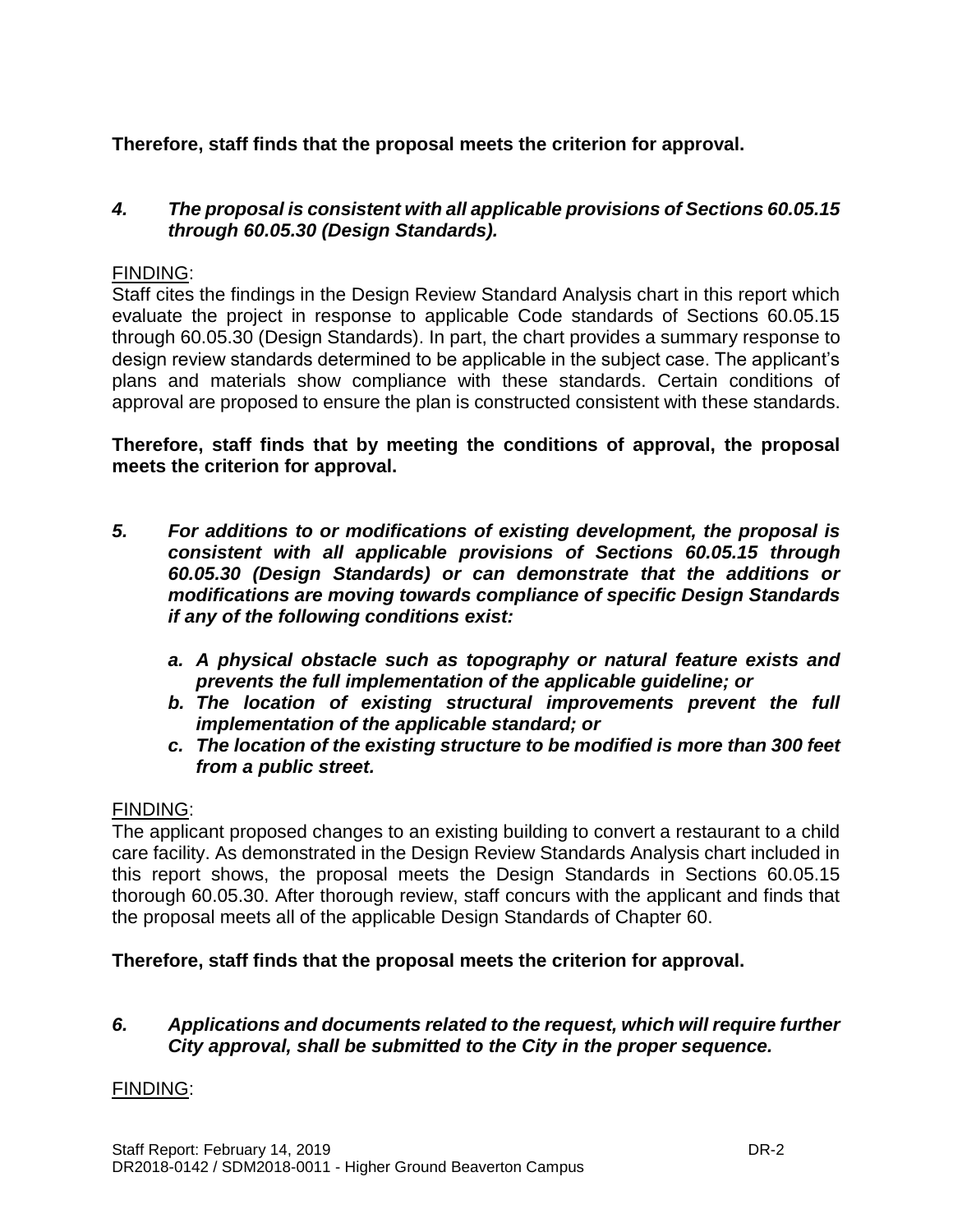## **Therefore, staff finds that the proposal meets the criterion for approval.**

#### *4. The proposal is consistent with all applicable provisions of Sections 60.05.15 through 60.05.30 (Design Standards).*

#### FINDING:

Staff cites the findings in the Design Review Standard Analysis chart in this report which evaluate the project in response to applicable Code standards of Sections 60.05.15 through 60.05.30 (Design Standards). In part, the chart provides a summary response to design review standards determined to be applicable in the subject case. The applicant's plans and materials show compliance with these standards. Certain conditions of approval are proposed to ensure the plan is constructed consistent with these standards.

**Therefore, staff finds that by meeting the conditions of approval, the proposal meets the criterion for approval.**

- *5. For additions to or modifications of existing development, the proposal is consistent with all applicable provisions of Sections 60.05.15 through 60.05.30 (Design Standards) or can demonstrate that the additions or modifications are moving towards compliance of specific Design Standards if any of the following conditions exist:*
	- *a. A physical obstacle such as topography or natural feature exists and prevents the full implementation of the applicable guideline; or*
	- *b. The location of existing structural improvements prevent the full implementation of the applicable standard; or*
	- *c. The location of the existing structure to be modified is more than 300 feet from a public street.*

#### FINDING:

The applicant proposed changes to an existing building to convert a restaurant to a child care facility. As demonstrated in the Design Review Standards Analysis chart included in this report shows, the proposal meets the Design Standards in Sections 60.05.15 thorough 60.05.30. After thorough review, staff concurs with the applicant and finds that the proposal meets all of the applicable Design Standards of Chapter 60.

#### **Therefore, staff finds that the proposal meets the criterion for approval.**

#### *6. Applications and documents related to the request, which will require further City approval, shall be submitted to the City in the proper sequence.*

#### FINDING: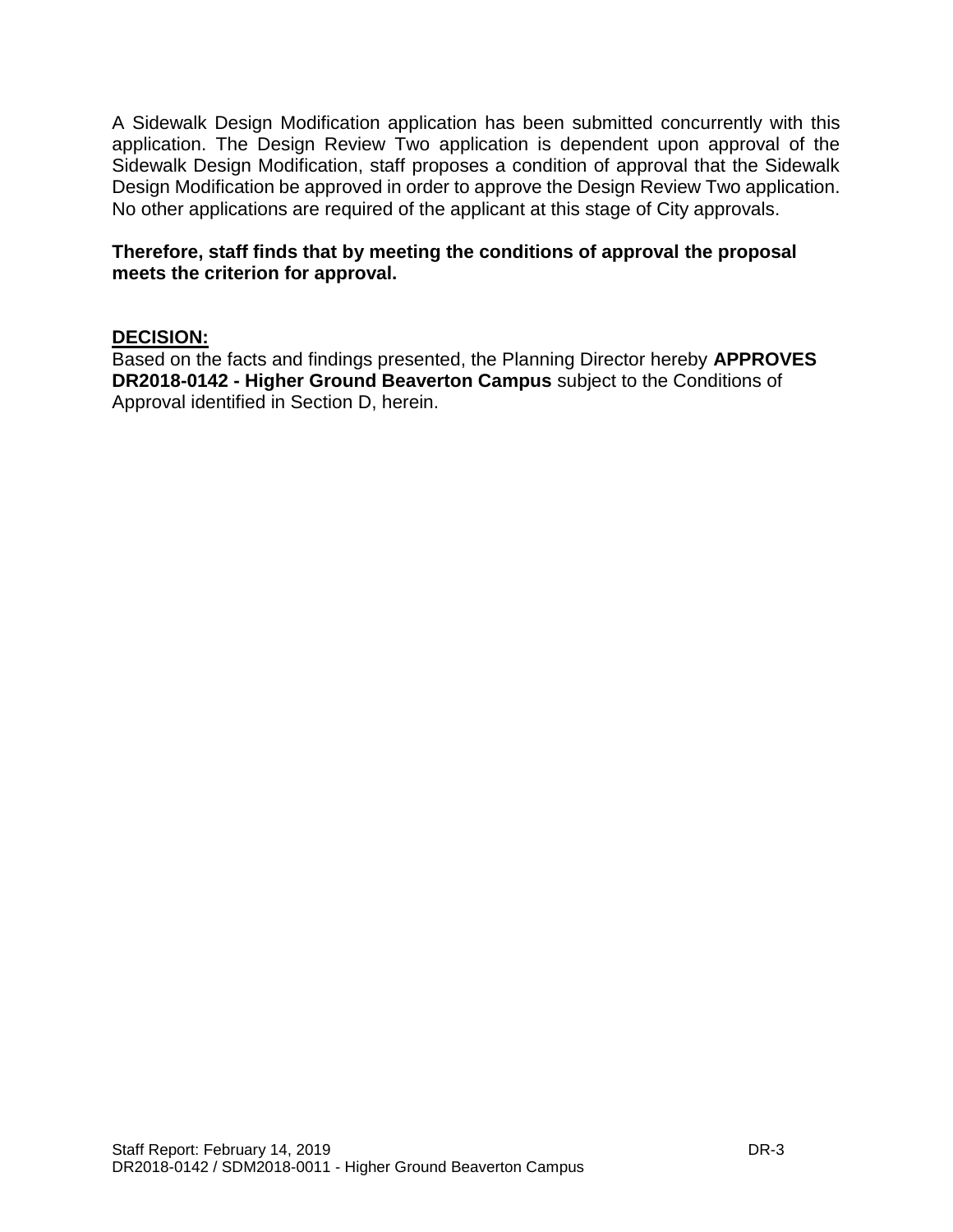A Sidewalk Design Modification application has been submitted concurrently with this application. The Design Review Two application is dependent upon approval of the Sidewalk Design Modification, staff proposes a condition of approval that the Sidewalk Design Modification be approved in order to approve the Design Review Two application. No other applications are required of the applicant at this stage of City approvals.

#### **Therefore, staff finds that by meeting the conditions of approval the proposal meets the criterion for approval.**

#### **DECISION:**

Based on the facts and findings presented, the Planning Director hereby **APPROVES DR2018-0142 - Higher Ground Beaverton Campus** subject to the Conditions of Approval identified in Section D, herein.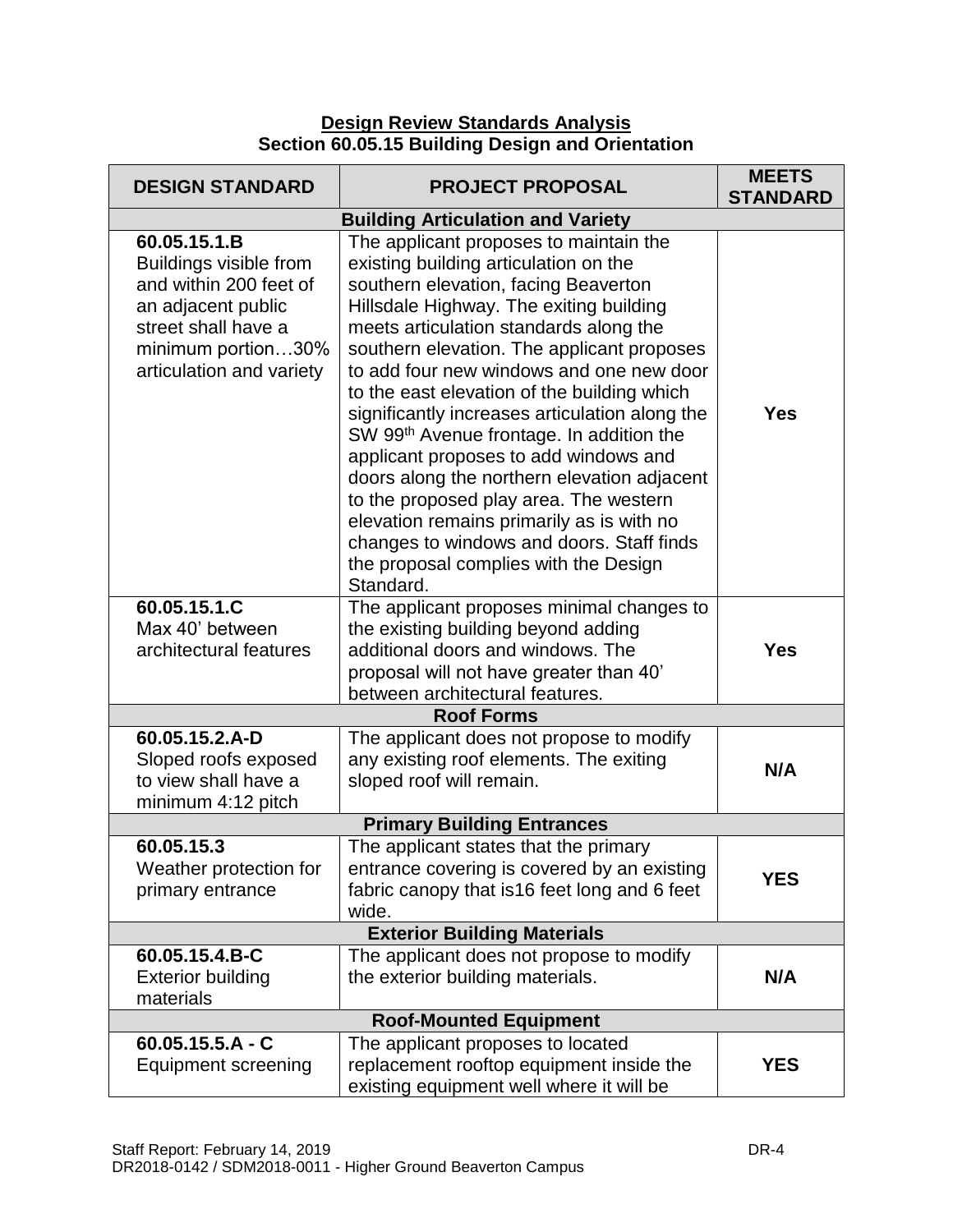#### **Design Review Standards Analysis Section 60.05.15 Building Design and Orientation**

| <b>DESIGN STANDARD</b>                                                                                                                                          | <b>PROJECT PROPOSAL</b>                                                                                                                                                                                                                                                                                                                                                                                                                                                                                                                                                                                                                                                                                                                           | <b>MEETS</b><br><b>STANDARD</b> |  |
|-----------------------------------------------------------------------------------------------------------------------------------------------------------------|---------------------------------------------------------------------------------------------------------------------------------------------------------------------------------------------------------------------------------------------------------------------------------------------------------------------------------------------------------------------------------------------------------------------------------------------------------------------------------------------------------------------------------------------------------------------------------------------------------------------------------------------------------------------------------------------------------------------------------------------------|---------------------------------|--|
|                                                                                                                                                                 | <b>Building Articulation and Variety</b>                                                                                                                                                                                                                                                                                                                                                                                                                                                                                                                                                                                                                                                                                                          |                                 |  |
| 60.05.15.1.B<br>Buildings visible from<br>and within 200 feet of<br>an adjacent public<br>street shall have a<br>minimum portion30%<br>articulation and variety | The applicant proposes to maintain the<br>existing building articulation on the<br>southern elevation, facing Beaverton<br>Hillsdale Highway. The exiting building<br>meets articulation standards along the<br>southern elevation. The applicant proposes<br>to add four new windows and one new door<br>to the east elevation of the building which<br>significantly increases articulation along the<br>SW 99 <sup>th</sup> Avenue frontage. In addition the<br>applicant proposes to add windows and<br>doors along the northern elevation adjacent<br>to the proposed play area. The western<br>elevation remains primarily as is with no<br>changes to windows and doors. Staff finds<br>the proposal complies with the Design<br>Standard. | <b>Yes</b>                      |  |
| 60.05.15.1.C<br>Max 40' between<br>architectural features                                                                                                       | The applicant proposes minimal changes to<br>the existing building beyond adding<br>additional doors and windows. The<br>proposal will not have greater than 40'<br>between architectural features.                                                                                                                                                                                                                                                                                                                                                                                                                                                                                                                                               | <b>Yes</b>                      |  |
|                                                                                                                                                                 | <b>Roof Forms</b>                                                                                                                                                                                                                                                                                                                                                                                                                                                                                                                                                                                                                                                                                                                                 |                                 |  |
| 60.05.15.2.A-D<br>Sloped roofs exposed<br>to view shall have a<br>minimum 4:12 pitch                                                                            | The applicant does not propose to modify<br>any existing roof elements. The exiting<br>sloped roof will remain.                                                                                                                                                                                                                                                                                                                                                                                                                                                                                                                                                                                                                                   | N/A                             |  |
|                                                                                                                                                                 | <b>Primary Building Entrances</b>                                                                                                                                                                                                                                                                                                                                                                                                                                                                                                                                                                                                                                                                                                                 |                                 |  |
| 60.05.15.3<br>Weather protection for<br>primary entrance                                                                                                        | The applicant states that the primary<br>entrance covering is covered by an existing<br>fabric canopy that is 16 feet long and 6 feet<br>wide.                                                                                                                                                                                                                                                                                                                                                                                                                                                                                                                                                                                                    | <b>YES</b>                      |  |
| <b>Exterior Building Materials</b>                                                                                                                              |                                                                                                                                                                                                                                                                                                                                                                                                                                                                                                                                                                                                                                                                                                                                                   |                                 |  |
| 60.05.15.4.B-C<br><b>Exterior building</b><br>materials                                                                                                         | The applicant does not propose to modify<br>the exterior building materials.                                                                                                                                                                                                                                                                                                                                                                                                                                                                                                                                                                                                                                                                      | N/A                             |  |
| <b>Roof-Mounted Equipment</b>                                                                                                                                   |                                                                                                                                                                                                                                                                                                                                                                                                                                                                                                                                                                                                                                                                                                                                                   |                                 |  |
| $60.05.15.5.A - C$<br><b>Equipment screening</b>                                                                                                                | The applicant proposes to located<br>replacement rooftop equipment inside the<br>existing equipment well where it will be                                                                                                                                                                                                                                                                                                                                                                                                                                                                                                                                                                                                                         | <b>YES</b>                      |  |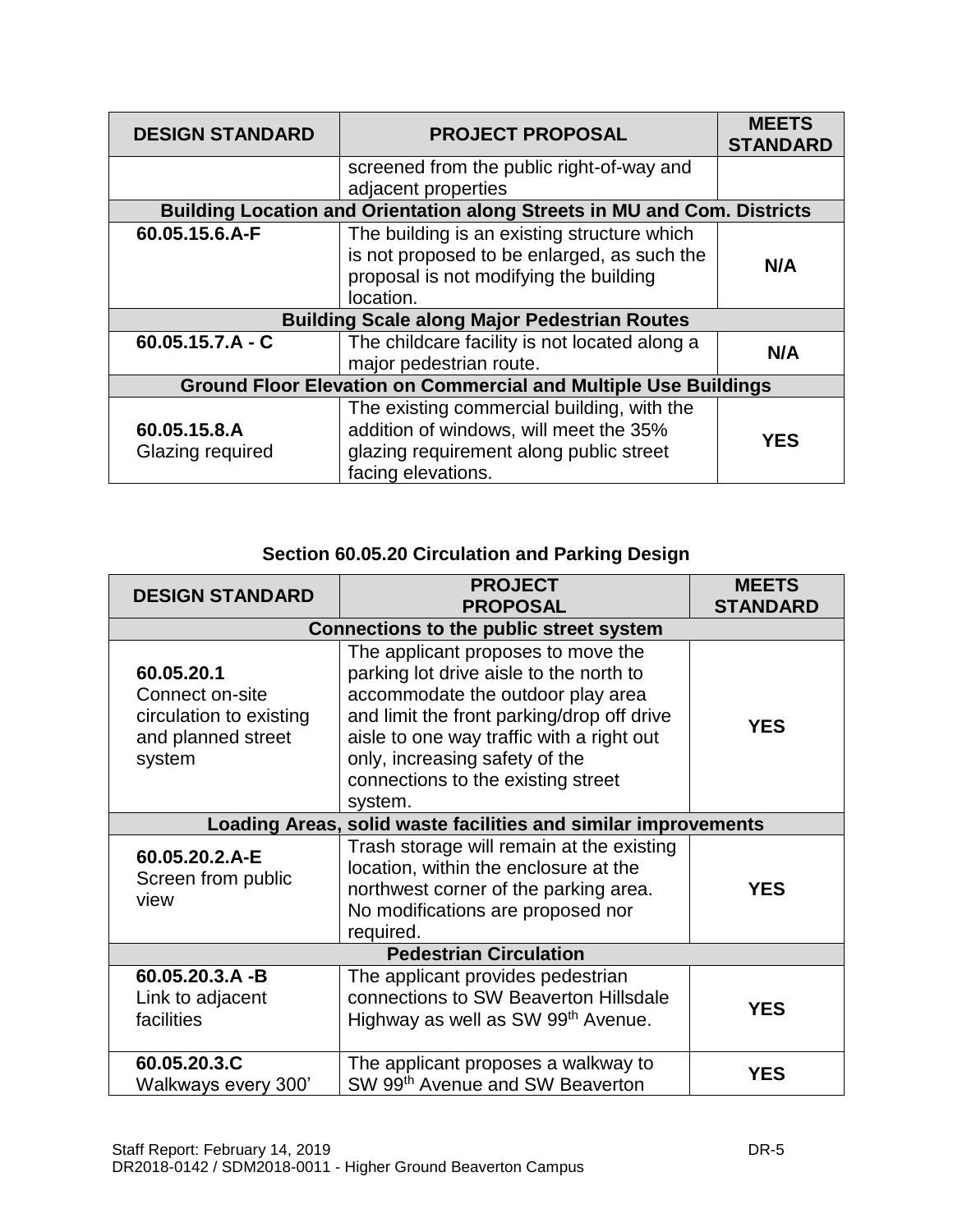| <b>DESIGN STANDARD</b>                                                 | <b>PROJECT PROPOSAL</b>                                                                                                                               | <b>MEETS</b><br><b>STANDARD</b> |  |  |
|------------------------------------------------------------------------|-------------------------------------------------------------------------------------------------------------------------------------------------------|---------------------------------|--|--|
|                                                                        | screened from the public right-of-way and                                                                                                             |                                 |  |  |
|                                                                        | adjacent properties                                                                                                                                   |                                 |  |  |
|                                                                        | Building Location and Orientation along Streets in MU and Com. Districts                                                                              |                                 |  |  |
| 60.05.15.6.A-F                                                         | The building is an existing structure which<br>is not proposed to be enlarged, as such the                                                            |                                 |  |  |
|                                                                        | proposal is not modifying the building                                                                                                                | N/A                             |  |  |
|                                                                        | location.                                                                                                                                             |                                 |  |  |
|                                                                        | <b>Building Scale along Major Pedestrian Routes</b>                                                                                                   |                                 |  |  |
| $60.05.15.7.A - C$                                                     | The childcare facility is not located along a                                                                                                         | N/A                             |  |  |
|                                                                        | major pedestrian route.                                                                                                                               |                                 |  |  |
| <b>Ground Floor Elevation on Commercial and Multiple Use Buildings</b> |                                                                                                                                                       |                                 |  |  |
| 60.05.15.8.A<br>Glazing required                                       | The existing commercial building, with the<br>addition of windows, will meet the 35%<br>glazing requirement along public street<br>facing elevations. | <b>YES</b>                      |  |  |

| <b>DESIGN STANDARD</b>                                                                   | <b>PROJECT</b><br><b>PROPOSAL</b>                                                                                                                                                                                                                                                                | <b>MEETS</b><br><b>STANDARD</b> |
|------------------------------------------------------------------------------------------|--------------------------------------------------------------------------------------------------------------------------------------------------------------------------------------------------------------------------------------------------------------------------------------------------|---------------------------------|
|                                                                                          | <b>Connections to the public street system</b>                                                                                                                                                                                                                                                   |                                 |
| 60.05.20.1<br>Connect on-site<br>circulation to existing<br>and planned street<br>system | The applicant proposes to move the<br>parking lot drive aisle to the north to<br>accommodate the outdoor play area<br>and limit the front parking/drop off drive<br>aisle to one way traffic with a right out<br>only, increasing safety of the<br>connections to the existing street<br>system. | <b>YES</b>                      |
|                                                                                          | Loading Areas, solid waste facilities and similar improvements                                                                                                                                                                                                                                   |                                 |
| 60.05.20.2.A-E<br>Screen from public<br>view                                             | Trash storage will remain at the existing<br>location, within the enclosure at the<br>northwest corner of the parking area.<br>No modifications are proposed nor<br>required.                                                                                                                    | <b>YES</b>                      |
|                                                                                          | <b>Pedestrian Circulation</b>                                                                                                                                                                                                                                                                    |                                 |
| 60.05.20.3.A-B<br>Link to adjacent<br>facilities                                         | The applicant provides pedestrian<br>connections to SW Beaverton Hillsdale<br>Highway as well as SW 99th Avenue.                                                                                                                                                                                 | <b>YES</b>                      |
| 60.05.20.3.C<br>Walkways every 300'                                                      | The applicant proposes a walkway to<br>SW 99th Avenue and SW Beaverton                                                                                                                                                                                                                           | <b>YES</b>                      |

## **Section 60.05.20 Circulation and Parking Design**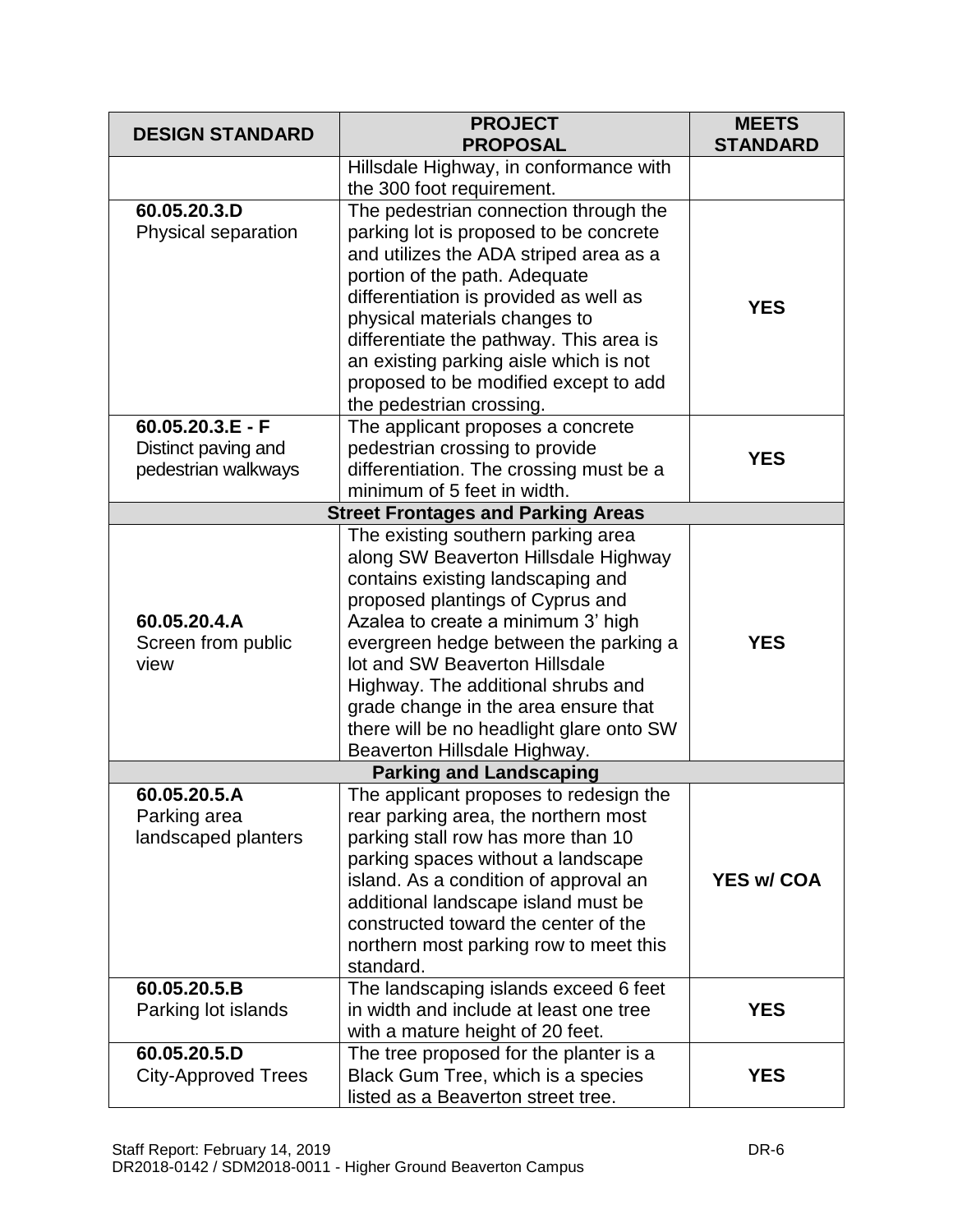| <b>DESIGN STANDARD</b>     | <b>PROJECT</b><br><b>PROPOSAL</b>                                                | <b>MEETS</b><br><b>STANDARD</b> |
|----------------------------|----------------------------------------------------------------------------------|---------------------------------|
|                            | Hillsdale Highway, in conformance with                                           |                                 |
|                            | the 300 foot requirement.                                                        |                                 |
| 60.05.20.3.D               | The pedestrian connection through the                                            |                                 |
| Physical separation        | parking lot is proposed to be concrete<br>and utilizes the ADA striped area as a |                                 |
|                            | portion of the path. Adequate                                                    |                                 |
|                            | differentiation is provided as well as                                           |                                 |
|                            | physical materials changes to                                                    | <b>YES</b>                      |
|                            | differentiate the pathway. This area is                                          |                                 |
|                            | an existing parking aisle which is not                                           |                                 |
|                            | proposed to be modified except to add                                            |                                 |
|                            | the pedestrian crossing.                                                         |                                 |
| $60.05.20.3.E - F$         | The applicant proposes a concrete                                                |                                 |
| Distinct paving and        | pedestrian crossing to provide                                                   |                                 |
| pedestrian walkways        | differentiation. The crossing must be a                                          | <b>YES</b>                      |
|                            | minimum of 5 feet in width.                                                      |                                 |
|                            | <b>Street Frontages and Parking Areas</b>                                        |                                 |
|                            | The existing southern parking area                                               |                                 |
|                            | along SW Beaverton Hillsdale Highway                                             |                                 |
|                            | contains existing landscaping and                                                |                                 |
|                            | proposed plantings of Cyprus and                                                 |                                 |
| 60.05.20.4.A               | Azalea to create a minimum 3' high                                               |                                 |
| Screen from public         | evergreen hedge between the parking a                                            | <b>YES</b>                      |
| view                       | lot and SW Beaverton Hillsdale                                                   |                                 |
|                            | Highway. The additional shrubs and                                               |                                 |
|                            | grade change in the area ensure that                                             |                                 |
|                            | there will be no headlight glare onto SW                                         |                                 |
|                            | Beaverton Hillsdale Highway.<br><b>Parking and Landscaping</b>                   |                                 |
| 60.05.20.5.A               | The applicant proposes to redesign the                                           |                                 |
| Parking area               | rear parking area, the northern most                                             |                                 |
| landscaped planters        | parking stall row has more than 10                                               |                                 |
|                            | parking spaces without a landscape                                               |                                 |
|                            | island. As a condition of approval an                                            | <b>YES w/ COA</b>               |
|                            | additional landscape island must be                                              |                                 |
|                            | constructed toward the center of the                                             |                                 |
|                            | northern most parking row to meet this                                           |                                 |
|                            | standard.                                                                        |                                 |
| 60.05.20.5.B               | The landscaping islands exceed 6 feet                                            |                                 |
| Parking lot islands        | in width and include at least one tree                                           | <b>YES</b>                      |
|                            | with a mature height of 20 feet.                                                 |                                 |
| 60.05.20.5.D               | The tree proposed for the planter is a                                           |                                 |
| <b>City-Approved Trees</b> | Black Gum Tree, which is a species                                               | <b>YES</b>                      |
|                            | listed as a Beaverton street tree.                                               |                                 |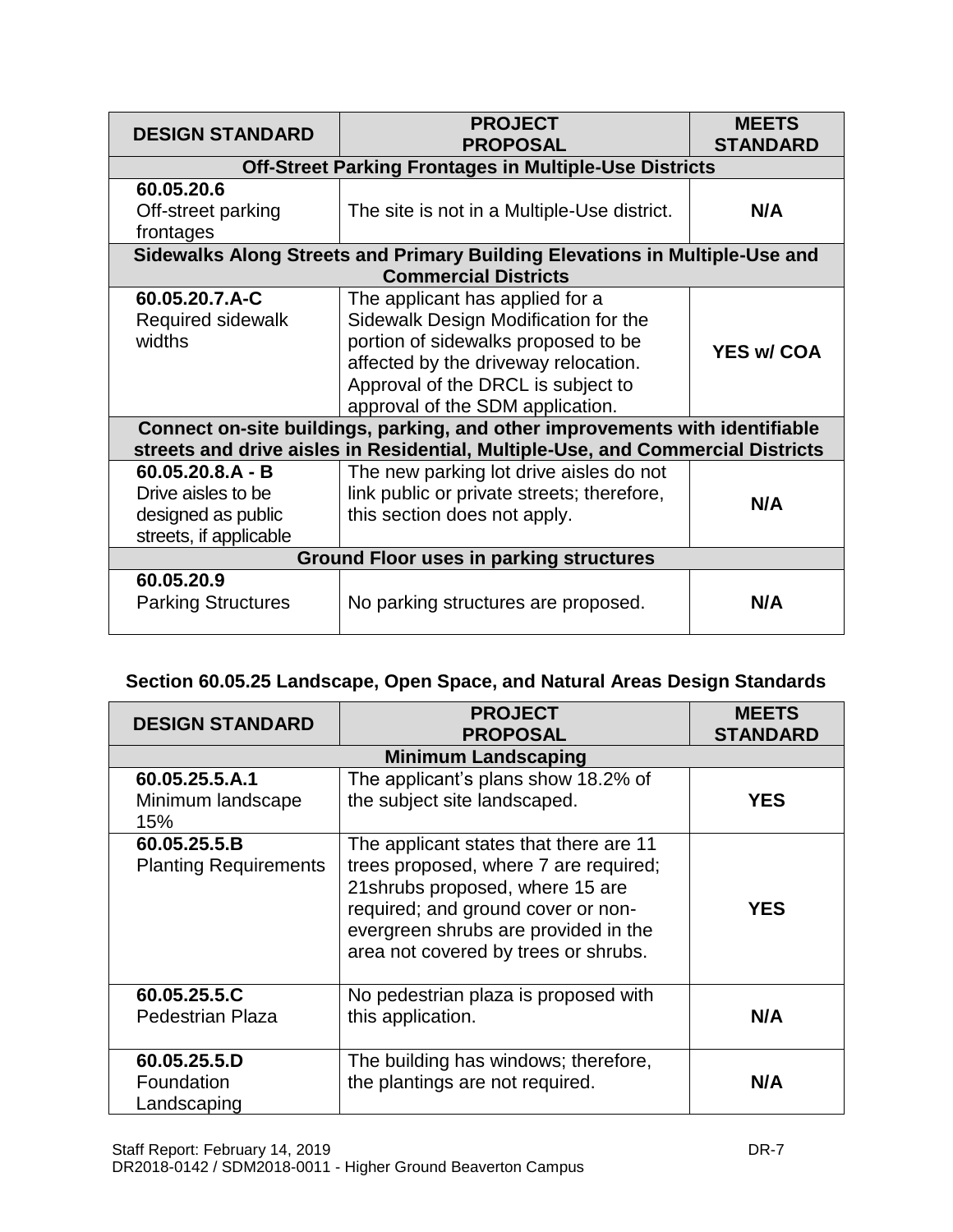| <b>DESIGN STANDARD</b>                         | <b>PROJECT</b><br><b>PROPOSAL</b>                                               | <b>MEETS</b><br><b>STANDARD</b> |  |  |  |
|------------------------------------------------|---------------------------------------------------------------------------------|---------------------------------|--|--|--|
|                                                | <b>Off-Street Parking Frontages in Multiple-Use Districts</b>                   |                                 |  |  |  |
| 60.05.20.6                                     |                                                                                 |                                 |  |  |  |
| Off-street parking                             | The site is not in a Multiple-Use district.                                     | N/A                             |  |  |  |
| frontages                                      |                                                                                 |                                 |  |  |  |
|                                                | Sidewalks Along Streets and Primary Building Elevations in Multiple-Use and     |                                 |  |  |  |
|                                                | <b>Commercial Districts</b>                                                     |                                 |  |  |  |
| 60.05.20.7.A-C                                 | The applicant has applied for a                                                 |                                 |  |  |  |
| Required sidewalk                              | Sidewalk Design Modification for the                                            |                                 |  |  |  |
| widths                                         | portion of sidewalks proposed to be                                             | <b>YES w/ COA</b>               |  |  |  |
|                                                | affected by the driveway relocation.                                            |                                 |  |  |  |
|                                                | Approval of the DRCL is subject to                                              |                                 |  |  |  |
|                                                | approval of the SDM application.                                                |                                 |  |  |  |
|                                                | Connect on-site buildings, parking, and other improvements with identifiable    |                                 |  |  |  |
|                                                | streets and drive aisles in Residential, Multiple-Use, and Commercial Districts |                                 |  |  |  |
| $60.05.20.8.A - B$                             | The new parking lot drive aisles do not                                         |                                 |  |  |  |
| Drive aisles to be                             | link public or private streets; therefore,                                      | N/A                             |  |  |  |
| designed as public                             | this section does not apply.                                                    |                                 |  |  |  |
| streets, if applicable                         |                                                                                 |                                 |  |  |  |
| <b>Ground Floor uses in parking structures</b> |                                                                                 |                                 |  |  |  |
| 60.05.20.9                                     |                                                                                 |                                 |  |  |  |
| <b>Parking Structures</b>                      | No parking structures are proposed.                                             | N/A                             |  |  |  |

## **Section 60.05.25 Landscape, Open Space, and Natural Areas Design Standards**

| <b>DESIGN STANDARD</b>                       | <b>PROJECT</b><br><b>PROPOSAL</b>                                                                                                                                                                                                        | <b>MEETS</b><br><b>STANDARD</b> |
|----------------------------------------------|------------------------------------------------------------------------------------------------------------------------------------------------------------------------------------------------------------------------------------------|---------------------------------|
|                                              | <b>Minimum Landscaping</b>                                                                                                                                                                                                               |                                 |
| 60.05.25.5.A.1<br>Minimum landscape<br>15%   | The applicant's plans show 18.2% of<br>the subject site landscaped.                                                                                                                                                                      | <b>YES</b>                      |
| 60.05.25.5.B<br><b>Planting Requirements</b> | The applicant states that there are 11<br>trees proposed, where 7 are required;<br>21shrubs proposed, where 15 are<br>required; and ground cover or non-<br>evergreen shrubs are provided in the<br>area not covered by trees or shrubs. | <b>YES</b>                      |
| 60.05.25.5.C<br><b>Pedestrian Plaza</b>      | No pedestrian plaza is proposed with<br>this application.                                                                                                                                                                                | N/A                             |
| 60.05.25.5.D<br>Foundation<br>Landscaping    | The building has windows; therefore,<br>the plantings are not required.                                                                                                                                                                  | N/A                             |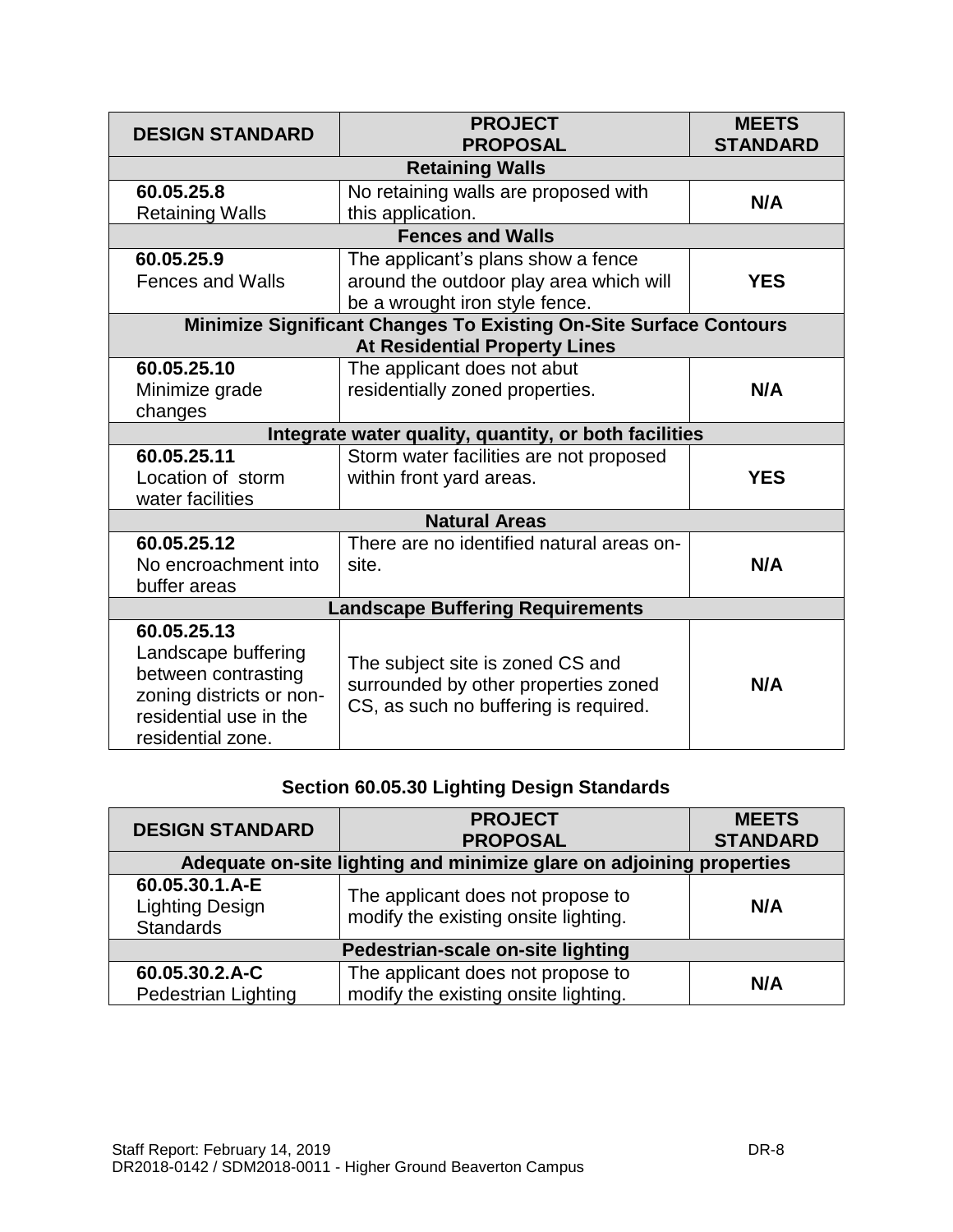| <b>DESIGN STANDARD</b>                                                                                                               | <b>PROJECT</b><br><b>PROPOSAL</b>                                                                                 | <b>MEETS</b><br><b>STANDARD</b> |  |
|--------------------------------------------------------------------------------------------------------------------------------------|-------------------------------------------------------------------------------------------------------------------|---------------------------------|--|
| <b>Retaining Walls</b>                                                                                                               |                                                                                                                   |                                 |  |
| 60.05.25.8<br><b>Retaining Walls</b>                                                                                                 | No retaining walls are proposed with<br>this application.                                                         | N/A                             |  |
| <b>Fences and Walls</b>                                                                                                              |                                                                                                                   |                                 |  |
| 60.05.25.9<br><b>Fences and Walls</b>                                                                                                | The applicant's plans show a fence<br>around the outdoor play area which will<br>be a wrought iron style fence.   | <b>YES</b>                      |  |
| <b>Minimize Significant Changes To Existing On-Site Surface Contours</b><br><b>At Residential Property Lines</b>                     |                                                                                                                   |                                 |  |
| 60.05.25.10<br>Minimize grade<br>changes                                                                                             | The applicant does not abut<br>residentially zoned properties.                                                    | N/A                             |  |
| Integrate water quality, quantity, or both facilities                                                                                |                                                                                                                   |                                 |  |
| 60.05.25.11<br>Location of storm<br>water facilities                                                                                 | Storm water facilities are not proposed<br>within front yard areas.                                               | <b>YES</b>                      |  |
| <b>Natural Areas</b>                                                                                                                 |                                                                                                                   |                                 |  |
| 60.05.25.12<br>No encroachment into<br>buffer areas                                                                                  | There are no identified natural areas on-<br>site.                                                                | N/A                             |  |
| <b>Landscape Buffering Requirements</b>                                                                                              |                                                                                                                   |                                 |  |
| 60.05.25.13<br>Landscape buffering<br>between contrasting<br>zoning districts or non-<br>residential use in the<br>residential zone. | The subject site is zoned CS and<br>surrounded by other properties zoned<br>CS, as such no buffering is required. | N/A                             |  |

## **Section 60.05.30 Lighting Design Standards**

| <b>DESIGN STANDARD</b>                                               | <b>PROJECT</b><br><b>PROPOSAL</b>                                         | <b>MEETS</b><br><b>STANDARD</b> |
|----------------------------------------------------------------------|---------------------------------------------------------------------------|---------------------------------|
| Adequate on-site lighting and minimize glare on adjoining properties |                                                                           |                                 |
| 60.05.30.1.A-E<br><b>Lighting Design</b><br><b>Standards</b>         | The applicant does not propose to<br>modify the existing onsite lighting. | N/A                             |
| Pedestrian-scale on-site lighting                                    |                                                                           |                                 |
| 60.05.30.2.A-C<br><b>Pedestrian Lighting</b>                         | The applicant does not propose to<br>modify the existing onsite lighting. | N/A                             |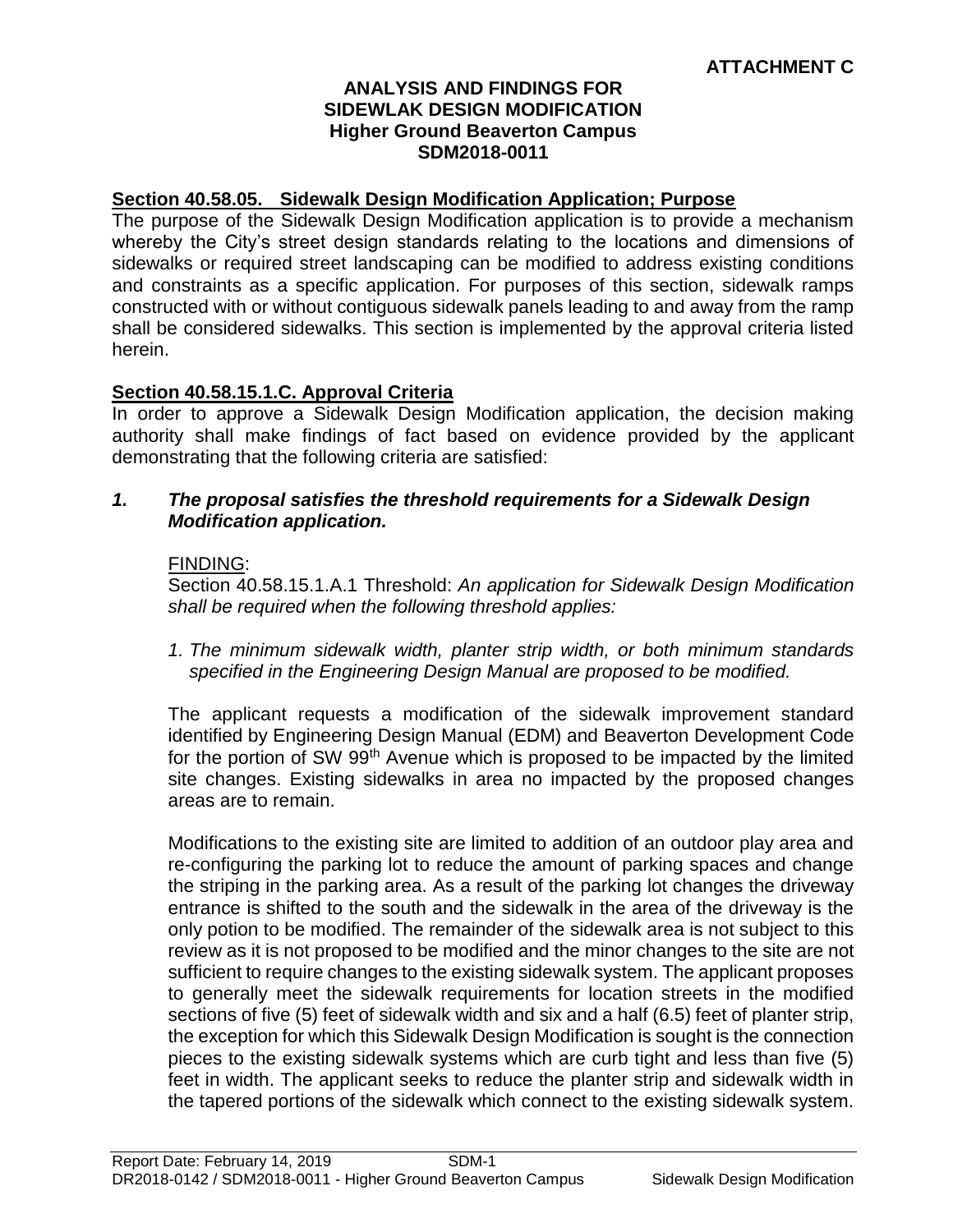#### **ANALYSIS AND FINDINGS FOR SIDEWLAK DESIGN MODIFICATION Higher Ground Beaverton Campus SDM2018-0011**

#### **Section 40.58.05. Sidewalk Design Modification Application; Purpose**

The purpose of the Sidewalk Design Modification application is to provide a mechanism whereby the City's street design standards relating to the locations and dimensions of sidewalks or required street landscaping can be modified to address existing conditions and constraints as a specific application. For purposes of this section, sidewalk ramps constructed with or without contiguous sidewalk panels leading to and away from the ramp shall be considered sidewalks. This section is implemented by the approval criteria listed herein.

#### **Section 40.58.15.1.C. Approval Criteria**

In order to approve a Sidewalk Design Modification application, the decision making authority shall make findings of fact based on evidence provided by the applicant demonstrating that the following criteria are satisfied:

#### *1. The proposal satisfies the threshold requirements for a Sidewalk Design Modification application.*

#### FINDING:

Section 40.58.15.1.A.1 Threshold: *An application for Sidewalk Design Modification shall be required when the following threshold applies:*

*1. The minimum sidewalk width, planter strip width, or both minimum standards specified in the Engineering Design Manual are proposed to be modified.*

The applicant requests a modification of the sidewalk improvement standard identified by Engineering Design Manual (EDM) and Beaverton Development Code for the portion of SW 99<sup>th</sup> Avenue which is proposed to be impacted by the limited site changes. Existing sidewalks in area no impacted by the proposed changes areas are to remain.

Modifications to the existing site are limited to addition of an outdoor play area and re-configuring the parking lot to reduce the amount of parking spaces and change the striping in the parking area. As a result of the parking lot changes the driveway entrance is shifted to the south and the sidewalk in the area of the driveway is the only potion to be modified. The remainder of the sidewalk area is not subject to this review as it is not proposed to be modified and the minor changes to the site are not sufficient to require changes to the existing sidewalk system. The applicant proposes to generally meet the sidewalk requirements for location streets in the modified sections of five (5) feet of sidewalk width and six and a half (6.5) feet of planter strip, the exception for which this Sidewalk Design Modification is sought is the connection pieces to the existing sidewalk systems which are curb tight and less than five (5) feet in width. The applicant seeks to reduce the planter strip and sidewalk width in the tapered portions of the sidewalk which connect to the existing sidewalk system.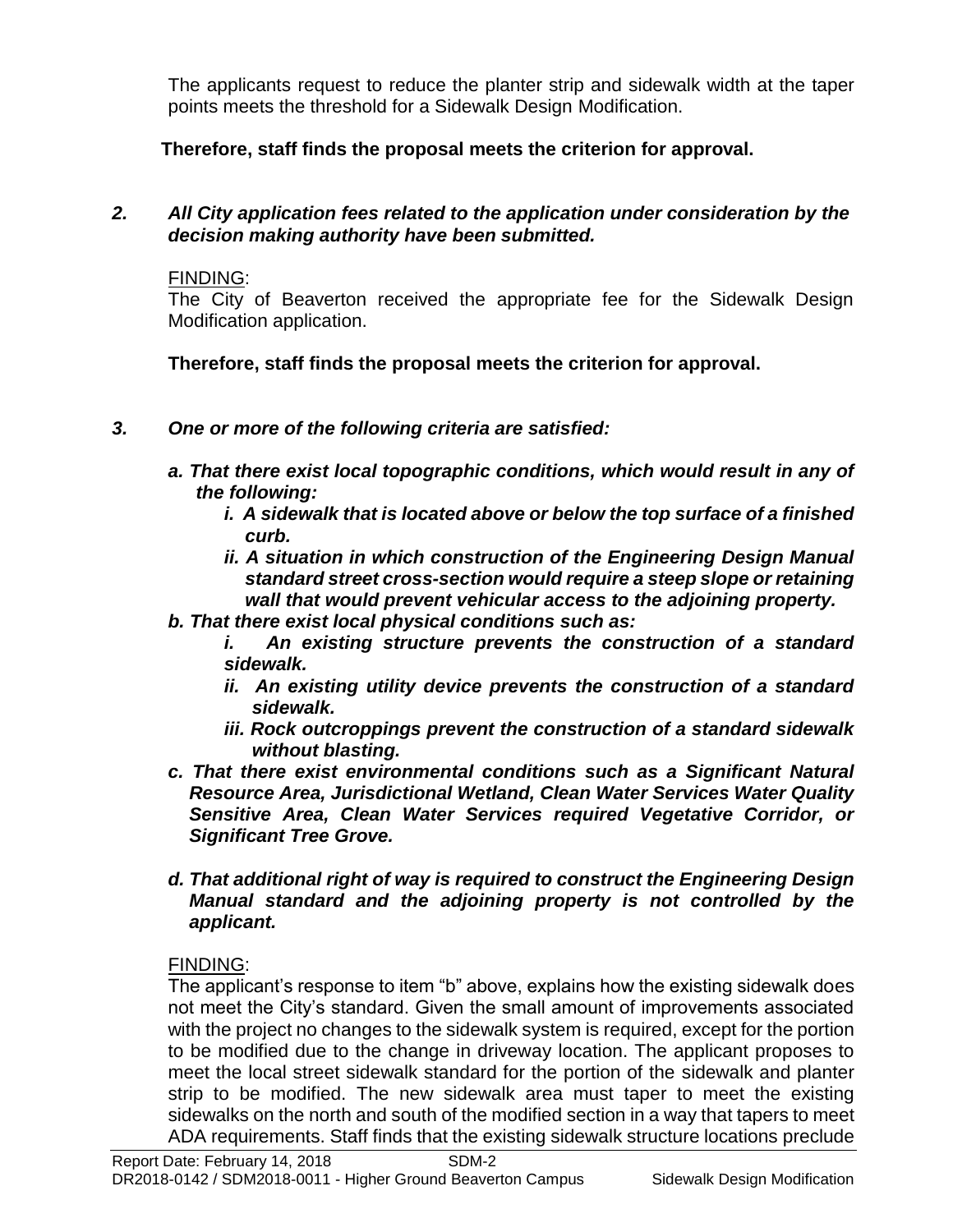The applicants request to reduce the planter strip and sidewalk width at the taper points meets the threshold for a Sidewalk Design Modification.

**Therefore, staff finds the proposal meets the criterion for approval.**

## *2. All City application fees related to the application under consideration by the decision making authority have been submitted.*

FINDING:

The City of Beaverton received the appropriate fee for the Sidewalk Design Modification application.

**Therefore, staff finds the proposal meets the criterion for approval.**

- *3. One or more of the following criteria are satisfied:*
	- *a. That there exist local topographic conditions, which would result in any of the following:*
		- *i. A sidewalk that is located above or below the top surface of a finished curb.*
		- *ii. A situation in which construction of the Engineering Design Manual standard street cross-section would require a steep slope or retaining wall that would prevent vehicular access to the adjoining property.*
	- *b. That there exist local physical conditions such as:*
		- *i. An existing structure prevents the construction of a standard sidewalk.*
		- *ii. An existing utility device prevents the construction of a standard sidewalk.*
		- *iii. Rock outcroppings prevent the construction of a standard sidewalk without blasting.*
	- *c. That there exist environmental conditions such as a Significant Natural Resource Area, Jurisdictional Wetland, Clean Water Services Water Quality Sensitive Area, Clean Water Services required Vegetative Corridor, or Significant Tree Grove.*
	- *d. That additional right of way is required to construct the Engineering Design Manual standard and the adjoining property is not controlled by the applicant.*

## FINDING:

The applicant's response to item "b" above, explains how the existing sidewalk does not meet the City's standard. Given the small amount of improvements associated with the project no changes to the sidewalk system is required, except for the portion to be modified due to the change in driveway location. The applicant proposes to meet the local street sidewalk standard for the portion of the sidewalk and planter strip to be modified. The new sidewalk area must taper to meet the existing sidewalks on the north and south of the modified section in a way that tapers to meet ADA requirements. Staff finds that the existing sidewalk structure locations preclude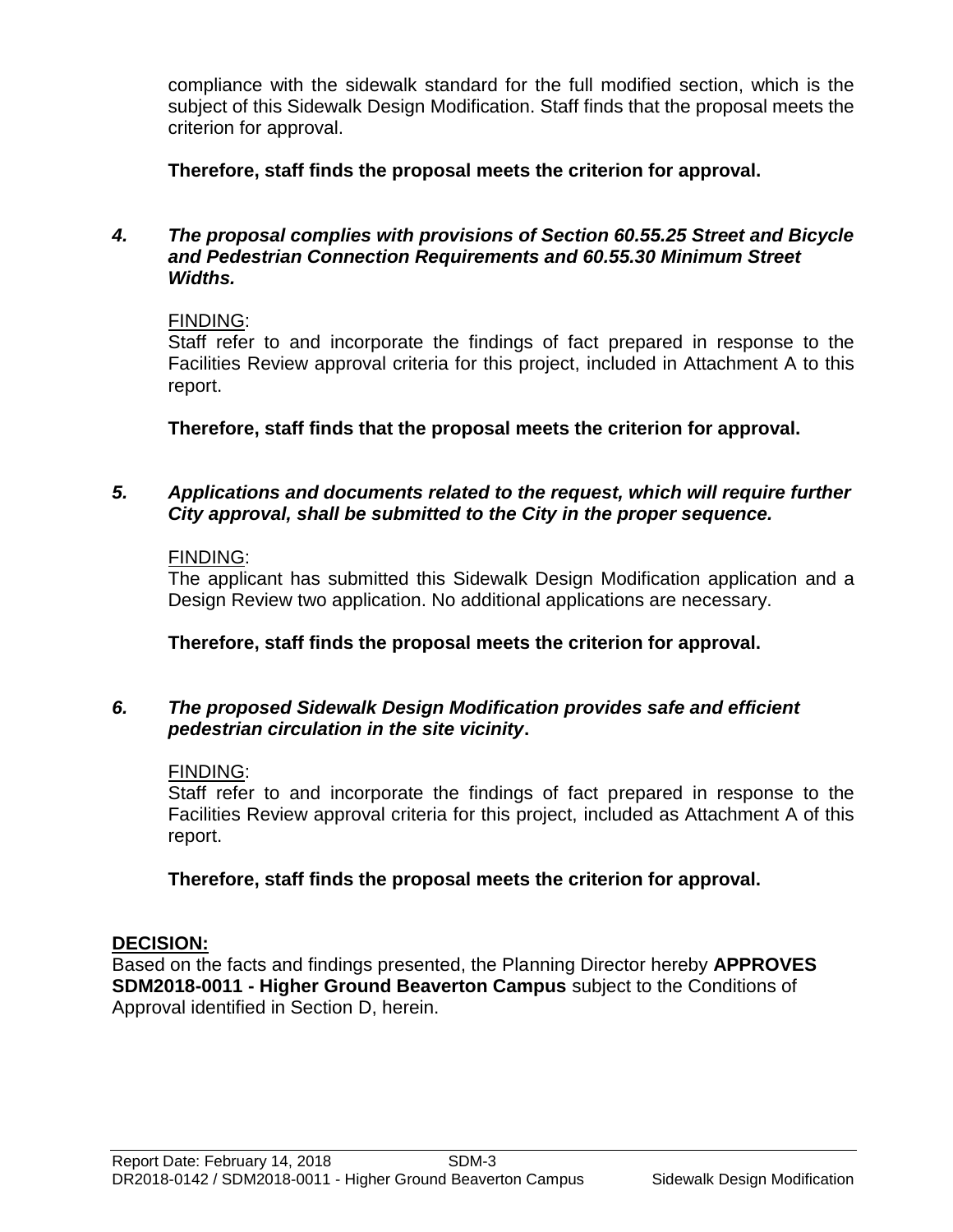compliance with the sidewalk standard for the full modified section, which is the subject of this Sidewalk Design Modification. Staff finds that the proposal meets the criterion for approval.

**Therefore, staff finds the proposal meets the criterion for approval.**

#### *4. The proposal complies with provisions of Section 60.55.25 Street and Bicycle and Pedestrian Connection Requirements and 60.55.30 Minimum Street Widths.*

#### FINDING:

Staff refer to and incorporate the findings of fact prepared in response to the Facilities Review approval criteria for this project, included in Attachment A to this report.

**Therefore, staff finds that the proposal meets the criterion for approval.**

#### *5. Applications and documents related to the request, which will require further City approval, shall be submitted to the City in the proper sequence.*

#### FINDING:

The applicant has submitted this Sidewalk Design Modification application and a Design Review two application. No additional applications are necessary.

**Therefore, staff finds the proposal meets the criterion for approval.**

#### *6. The proposed Sidewalk Design Modification provides safe and efficient pedestrian circulation in the site vicinity***.**

#### FINDING:

Staff refer to and incorporate the findings of fact prepared in response to the Facilities Review approval criteria for this project, included as Attachment A of this report.

#### **Therefore, staff finds the proposal meets the criterion for approval.**

#### **DECISION:**

Based on the facts and findings presented, the Planning Director hereby **APPROVES SDM2018-0011 - Higher Ground Beaverton Campus** subject to the Conditions of Approval identified in Section D, herein.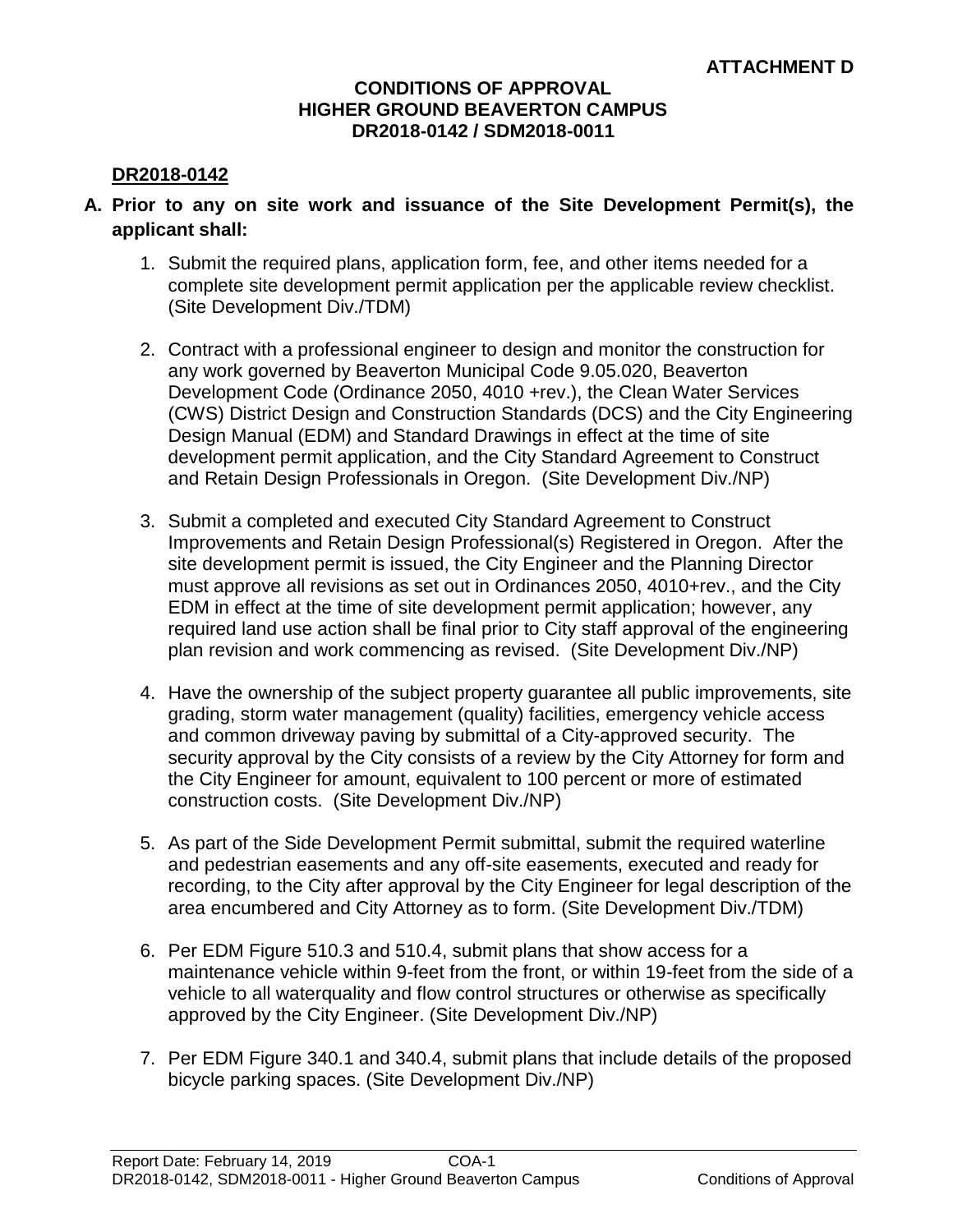#### **CONDITIONS OF APPROVAL HIGHER GROUND BEAVERTON CAMPUS DR2018-0142 / SDM2018-0011**

#### **DR2018-0142**

- **A. Prior to any on site work and issuance of the Site Development Permit(s), the applicant shall:**
	- 1. Submit the required plans, application form, fee, and other items needed for a complete site development permit application per the applicable review checklist. (Site Development Div./TDM)
	- 2. Contract with a professional engineer to design and monitor the construction for any work governed by Beaverton Municipal Code 9.05.020, Beaverton Development Code (Ordinance 2050, 4010 +rev.), the Clean Water Services (CWS) District Design and Construction Standards (DCS) and the City Engineering Design Manual (EDM) and Standard Drawings in effect at the time of site development permit application, and the City Standard Agreement to Construct and Retain Design Professionals in Oregon. (Site Development Div./NP)
	- 3. Submit a completed and executed City Standard Agreement to Construct Improvements and Retain Design Professional(s) Registered in Oregon. After the site development permit is issued, the City Engineer and the Planning Director must approve all revisions as set out in Ordinances 2050, 4010+rev., and the City EDM in effect at the time of site development permit application; however, any required land use action shall be final prior to City staff approval of the engineering plan revision and work commencing as revised. (Site Development Div./NP)
	- 4. Have the ownership of the subject property guarantee all public improvements, site grading, storm water management (quality) facilities, emergency vehicle access and common driveway paving by submittal of a City-approved security. The security approval by the City consists of a review by the City Attorney for form and the City Engineer for amount, equivalent to 100 percent or more of estimated construction costs. (Site Development Div./NP)
	- 5. As part of the Side Development Permit submittal, submit the required waterline and pedestrian easements and any off-site easements, executed and ready for recording, to the City after approval by the City Engineer for legal description of the area encumbered and City Attorney as to form. (Site Development Div./TDM)
	- 6. Per EDM Figure 510.3 and 510.4, submit plans that show access for a maintenance vehicle within 9-feet from the front, or within 19-feet from the side of a vehicle to all waterquality and flow control structures or otherwise as specifically approved by the City Engineer. (Site Development Div./NP)
	- 7. Per EDM Figure 340.1 and 340.4, submit plans that include details of the proposed bicycle parking spaces. (Site Development Div./NP)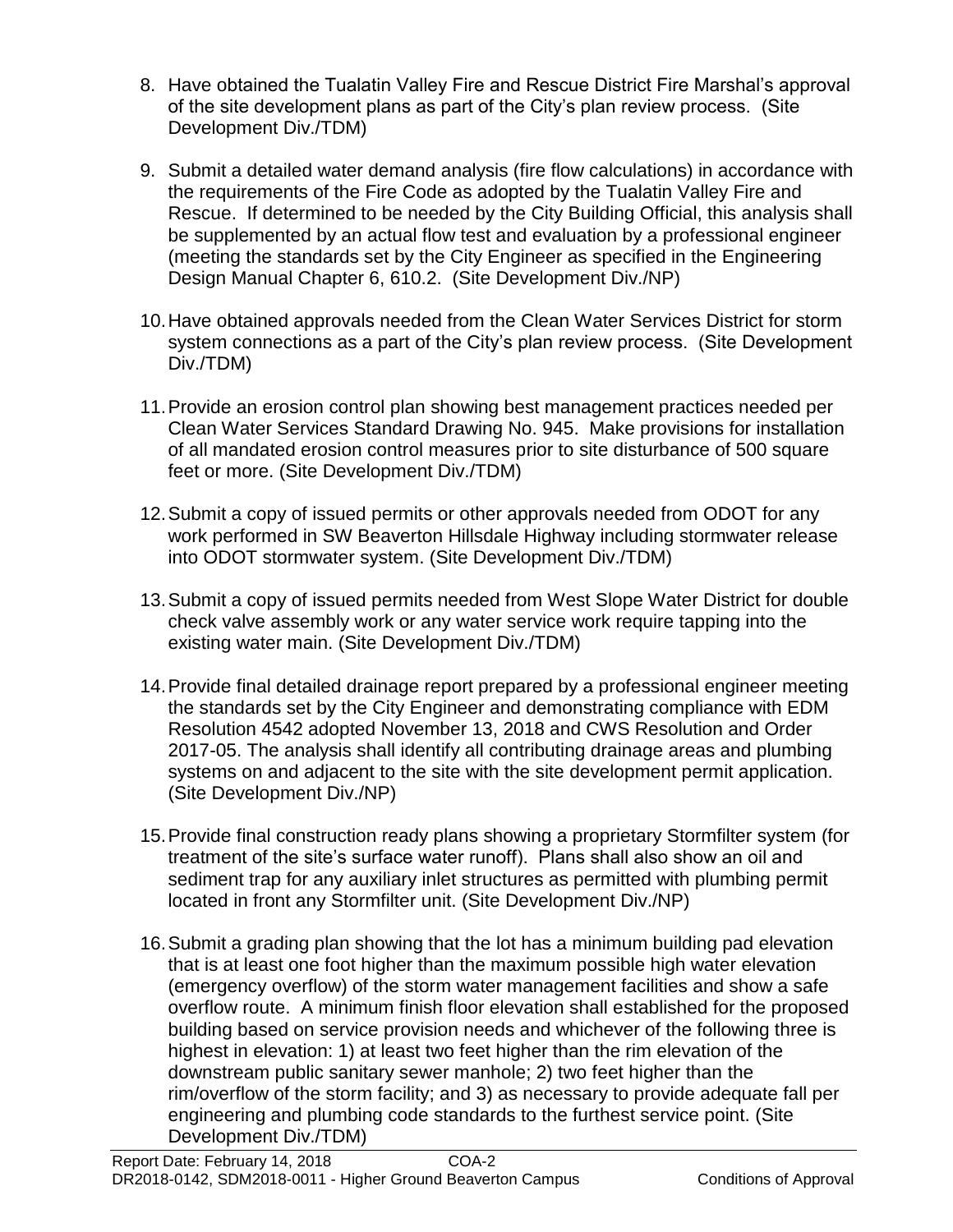- 8. Have obtained the Tualatin Valley Fire and Rescue District Fire Marshal's approval of the site development plans as part of the City's plan review process. (Site Development Div./TDM)
- 9. Submit a detailed water demand analysis (fire flow calculations) in accordance with the requirements of the Fire Code as adopted by the Tualatin Valley Fire and Rescue. If determined to be needed by the City Building Official, this analysis shall be supplemented by an actual flow test and evaluation by a professional engineer (meeting the standards set by the City Engineer as specified in the Engineering Design Manual Chapter 6, 610.2. (Site Development Div./NP)
- 10.Have obtained approvals needed from the Clean Water Services District for storm system connections as a part of the City's plan review process. (Site Development Div./TDM)
- 11.Provide an erosion control plan showing best management practices needed per Clean Water Services Standard Drawing No. 945. Make provisions for installation of all mandated erosion control measures prior to site disturbance of 500 square feet or more. (Site Development Div./TDM)
- 12.Submit a copy of issued permits or other approvals needed from ODOT for any work performed in SW Beaverton Hillsdale Highway including stormwater release into ODOT stormwater system. (Site Development Div./TDM)
- 13.Submit a copy of issued permits needed from West Slope Water District for double check valve assembly work or any water service work require tapping into the existing water main. (Site Development Div./TDM)
- 14.Provide final detailed drainage report prepared by a professional engineer meeting the standards set by the City Engineer and demonstrating compliance with EDM Resolution 4542 adopted November 13, 2018 and CWS Resolution and Order 2017-05. The analysis shall identify all contributing drainage areas and plumbing systems on and adjacent to the site with the site development permit application. (Site Development Div./NP)
- 15.Provide final construction ready plans showing a proprietary Stormfilter system (for treatment of the site's surface water runoff). Plans shall also show an oil and sediment trap for any auxiliary inlet structures as permitted with plumbing permit located in front any Stormfilter unit. (Site Development Div./NP)
- 16.Submit a grading plan showing that the lot has a minimum building pad elevation that is at least one foot higher than the maximum possible high water elevation (emergency overflow) of the storm water management facilities and show a safe overflow route. A minimum finish floor elevation shall established for the proposed building based on service provision needs and whichever of the following three is highest in elevation: 1) at least two feet higher than the rim elevation of the downstream public sanitary sewer manhole; 2) two feet higher than the rim/overflow of the storm facility; and 3) as necessary to provide adequate fall per engineering and plumbing code standards to the furthest service point. (Site Development Div./TDM)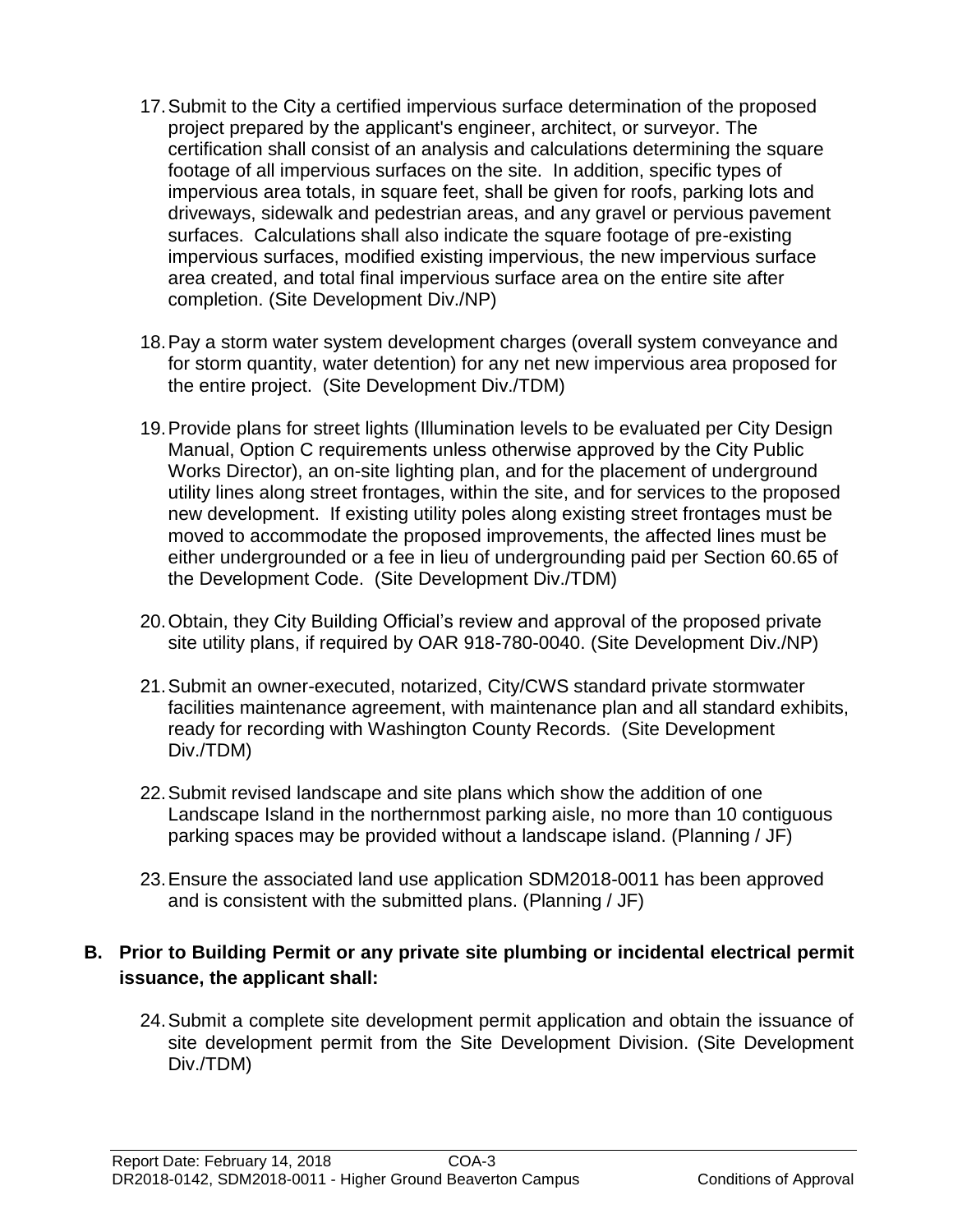- 17.Submit to the City a certified impervious surface determination of the proposed project prepared by the applicant's engineer, architect, or surveyor. The certification shall consist of an analysis and calculations determining the square footage of all impervious surfaces on the site. In addition, specific types of impervious area totals, in square feet, shall be given for roofs, parking lots and driveways, sidewalk and pedestrian areas, and any gravel or pervious pavement surfaces. Calculations shall also indicate the square footage of pre-existing impervious surfaces, modified existing impervious, the new impervious surface area created, and total final impervious surface area on the entire site after completion. (Site Development Div./NP)
- 18.Pay a storm water system development charges (overall system conveyance and for storm quantity, water detention) for any net new impervious area proposed for the entire project. (Site Development Div./TDM)
- 19.Provide plans for street lights (Illumination levels to be evaluated per City Design Manual, Option C requirements unless otherwise approved by the City Public Works Director), an on-site lighting plan, and for the placement of underground utility lines along street frontages, within the site, and for services to the proposed new development. If existing utility poles along existing street frontages must be moved to accommodate the proposed improvements, the affected lines must be either undergrounded or a fee in lieu of undergrounding paid per Section 60.65 of the Development Code. (Site Development Div./TDM)
- 20.Obtain, they City Building Official's review and approval of the proposed private site utility plans, if required by OAR 918-780-0040. (Site Development Div./NP)
- 21.Submit an owner-executed, notarized, City/CWS standard private stormwater facilities maintenance agreement, with maintenance plan and all standard exhibits, ready for recording with Washington County Records. (Site Development Div./TDM)
- 22.Submit revised landscape and site plans which show the addition of one Landscape Island in the northernmost parking aisle, no more than 10 contiguous parking spaces may be provided without a landscape island. (Planning / JF)
- 23.Ensure the associated land use application SDM2018-0011 has been approved and is consistent with the submitted plans. (Planning / JF)

## **B. Prior to Building Permit or any private site plumbing or incidental electrical permit issuance, the applicant shall:**

24.Submit a complete site development permit application and obtain the issuance of site development permit from the Site Development Division. (Site Development Div./TDM)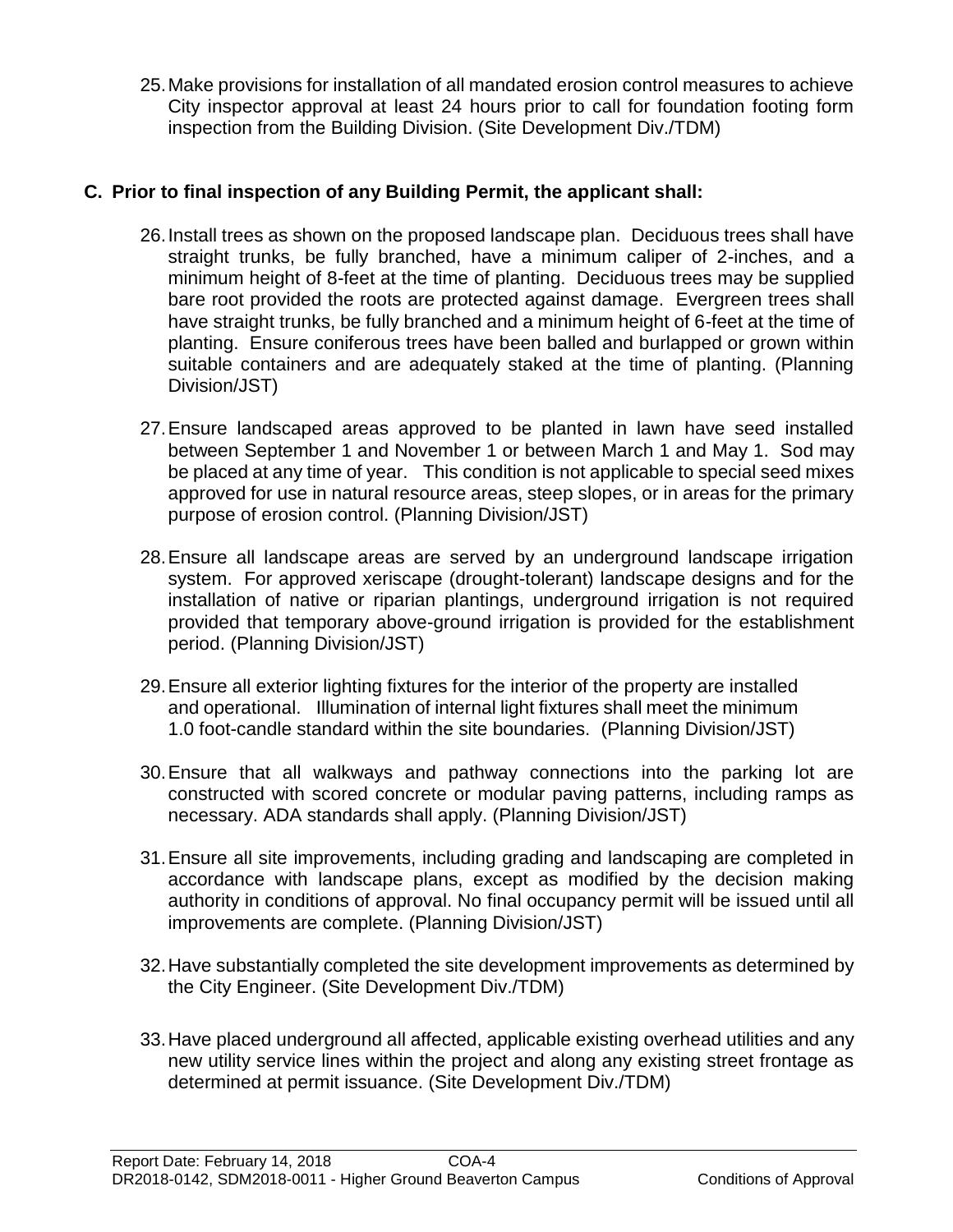25.Make provisions for installation of all mandated erosion control measures to achieve City inspector approval at least 24 hours prior to call for foundation footing form inspection from the Building Division. (Site Development Div./TDM)

## **C. Prior to final inspection of any Building Permit, the applicant shall:**

- 26.Install trees as shown on the proposed landscape plan. Deciduous trees shall have straight trunks, be fully branched, have a minimum caliper of 2-inches, and a minimum height of 8-feet at the time of planting. Deciduous trees may be supplied bare root provided the roots are protected against damage. Evergreen trees shall have straight trunks, be fully branched and a minimum height of 6-feet at the time of planting. Ensure coniferous trees have been balled and burlapped or grown within suitable containers and are adequately staked at the time of planting. (Planning Division/JST)
- 27.Ensure landscaped areas approved to be planted in lawn have seed installed between September 1 and November 1 or between March 1 and May 1. Sod may be placed at any time of year. This condition is not applicable to special seed mixes approved for use in natural resource areas, steep slopes, or in areas for the primary purpose of erosion control. (Planning Division/JST)
- 28.Ensure all landscape areas are served by an underground landscape irrigation system. For approved xeriscape (drought-tolerant) landscape designs and for the installation of native or riparian plantings, underground irrigation is not required provided that temporary above-ground irrigation is provided for the establishment period. (Planning Division/JST)
- 29.Ensure all exterior lighting fixtures for the interior of the property are installed and operational. Illumination of internal light fixtures shall meet the minimum 1.0 foot-candle standard within the site boundaries. (Planning Division/JST)
- 30.Ensure that all walkways and pathway connections into the parking lot are constructed with scored concrete or modular paving patterns, including ramps as necessary. ADA standards shall apply. (Planning Division/JST)
- 31.Ensure all site improvements, including grading and landscaping are completed in accordance with landscape plans, except as modified by the decision making authority in conditions of approval. No final occupancy permit will be issued until all improvements are complete. (Planning Division/JST)
- 32.Have substantially completed the site development improvements as determined by the City Engineer. (Site Development Div./TDM)
- 33.Have placed underground all affected, applicable existing overhead utilities and any new utility service lines within the project and along any existing street frontage as determined at permit issuance. (Site Development Div./TDM)